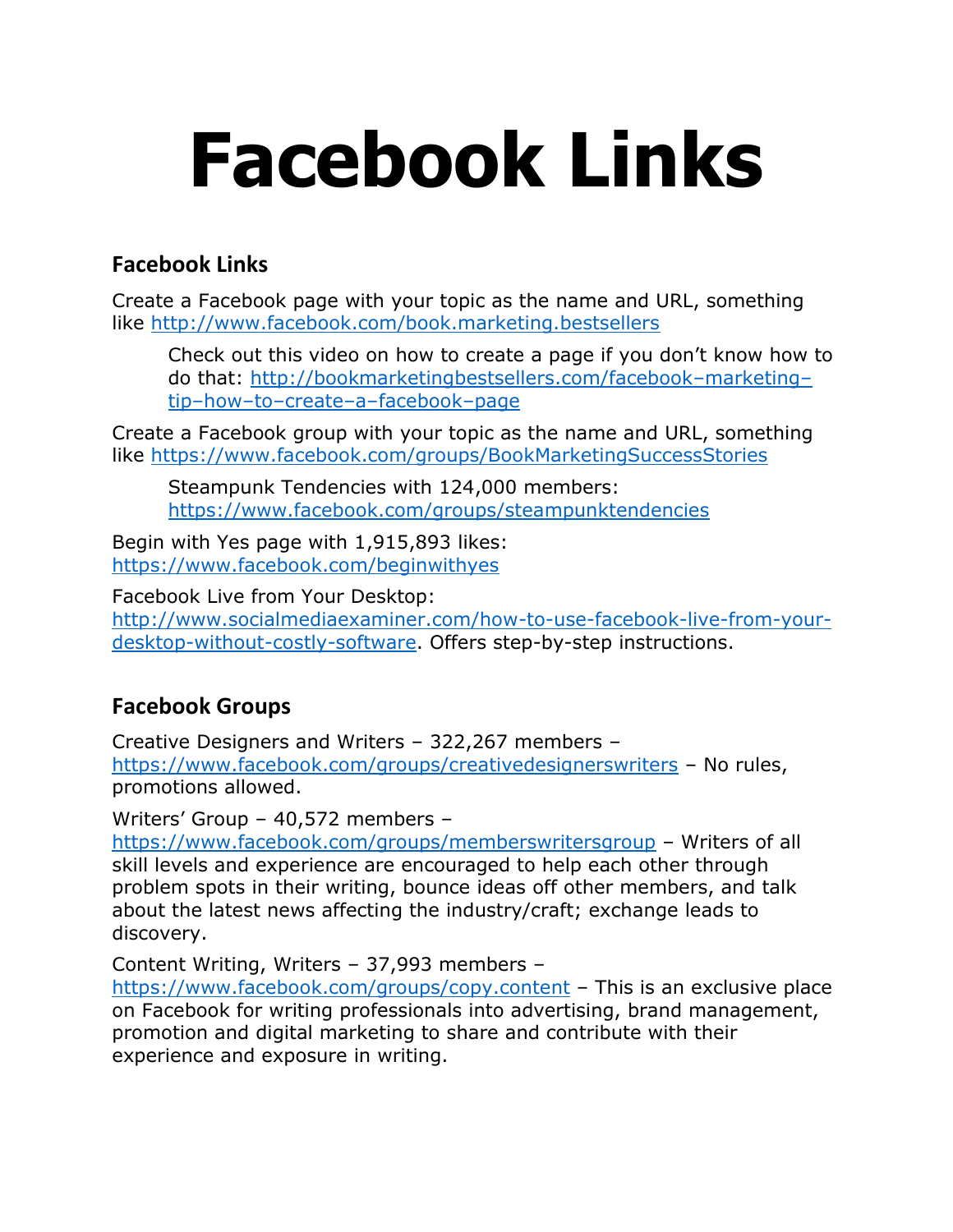# **Facebook Links**

## **Facebook Links**

Create a Facebook page with your topic as the name and URL, something like<http://www.facebook.com/book.marketing.bestsellers>

Check out this video on how to create a page if you don't know how to do that: [http://bookmarketingbestsellers.com/facebook](http://bookmarketingbestsellers.com/facebook-marketing-tip-how-to-create-a-facebook-page)–marketing– tip–how–to–create–a–[facebook](http://bookmarketingbestsellers.com/facebook-marketing-tip-how-to-create-a-facebook-page)–page

Create a Facebook group with your topic as the name and URL, something like<https://www.facebook.com/groups/BookMarketingSuccessStories>

Steampunk Tendencies with 124,000 members: <https://www.facebook.com/groups/steampunktendencies>

Begin with Yes page with 1,915,893 likes: <https://www.facebook.com/beginwithyes>

Facebook Live from Your Desktop: [http://www.socialmediaexaminer.com/how-to-use-facebook-live-from-your](http://www.socialmediaexaminer.com/how-to-use-facebook-live-from-your-desktop-without-costly-software)[desktop-without-costly-software.](http://www.socialmediaexaminer.com/how-to-use-facebook-live-from-your-desktop-without-costly-software) Offers step-by-step instructions.

## **Facebook Groups**

Creative Designers and Writers – 322,267 members – <https://www.facebook.com/groups/creativedesignerswriters> – No rules, promotions allowed.

Writers' Group – 40,572 members –

<https://www.facebook.com/groups/memberswritersgroup> – Writers of all skill levels and experience are encouraged to help each other through problem spots in their writing, bounce ideas off other members, and talk about the latest news affecting the industry/craft; exchange leads to discovery.

Content Writing, Writers – 37,993 members –

<https://www.facebook.com/groups/copy.content> – This is an exclusive place on Facebook for writing professionals into advertising, brand management, promotion and digital marketing to share and contribute with their experience and exposure in writing.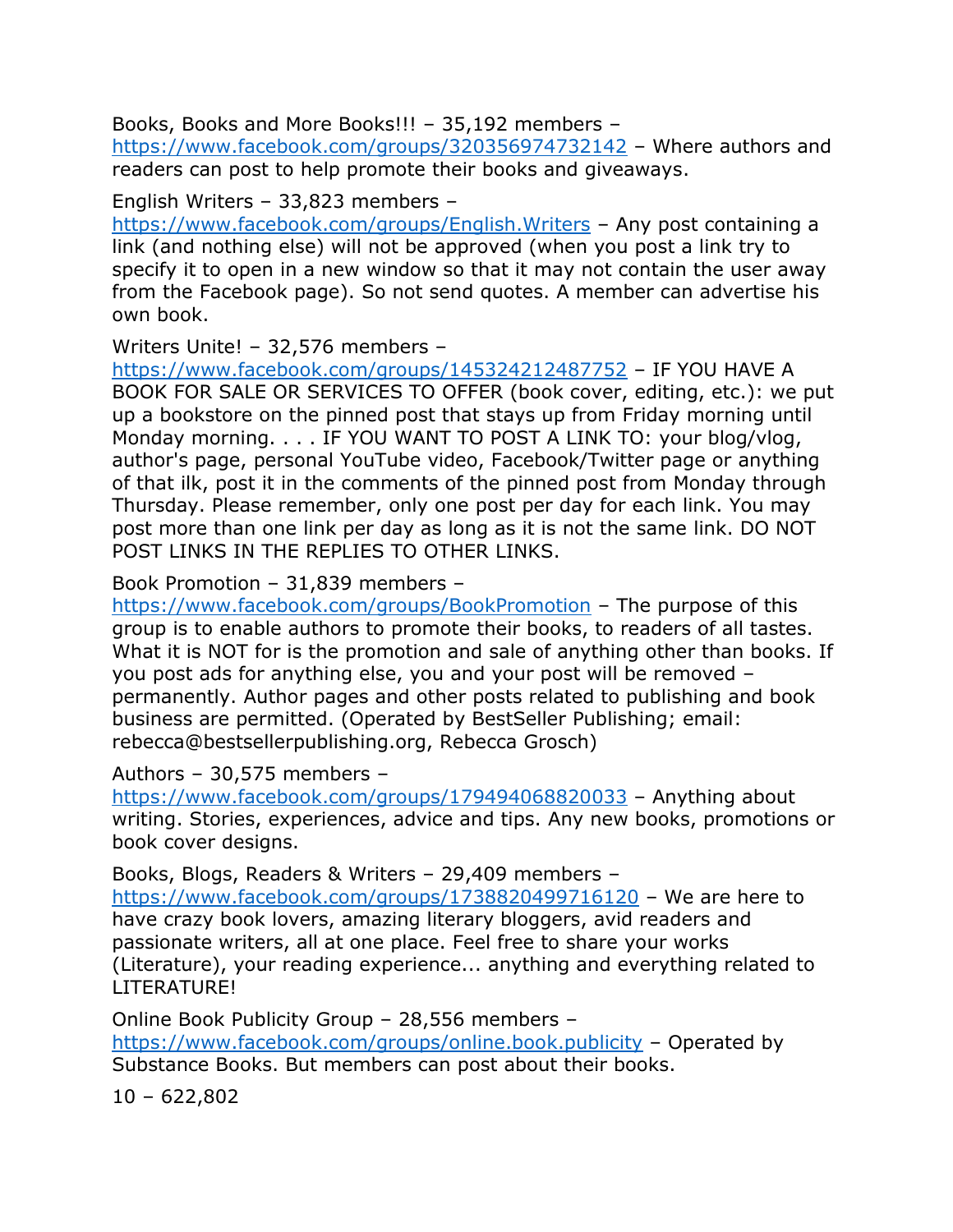Books, Books and More Books!!! – 35,192 members –

<https://www.facebook.com/groups/320356974732142> – Where authors and readers can post to help promote their books and giveaways.

#### English Writers – 33,823 members –

<https://www.facebook.com/groups/English.Writers> – Any post containing a link (and nothing else) will not be approved (when you post a link try to specify it to open in a new window so that it may not contain the user away from the Facebook page). So not send quotes. A member can advertise his own book.

Writers Unite! – 32,576 members –

<https://www.facebook.com/groups/145324212487752> – IF YOU HAVE A BOOK FOR SALE OR SERVICES TO OFFER (book cover, editing, etc.): we put up a bookstore on the pinned post that stays up from Friday morning until Monday morning. . . . IF YOU WANT TO POST A LINK TO: your blog/vlog, author's page, personal YouTube video, Facebook/Twitter page or anything of that ilk, post it in the comments of the pinned post from Monday through Thursday. Please remember, only one post per day for each link. You may post more than one link per day as long as it is not the same link. DO NOT POST LINKS IN THE REPLIES TO OTHER LINKS.

Book Promotion – 31,839 members –

<https://www.facebook.com/groups/BookPromotion> – The purpose of this group is to enable authors to promote their books, to readers of all tastes. What it is NOT for is the promotion and sale of anything other than books. If you post ads for anything else, you and your post will be removed – permanently. Author pages and other posts related to publishing and book business are permitted. (Operated by BestSeller Publishing; email: rebecca@bestsellerpublishing.org, Rebecca Grosch)

Authors – 30,575 members –

<https://www.facebook.com/groups/179494068820033> – Anything about writing. Stories, experiences, advice and tips. Any new books, promotions or book cover designs.

Books, Blogs, Readers & Writers – 29,409 members – <https://www.facebook.com/groups/1738820499716120> – We are here to have crazy book lovers, amazing literary bloggers, avid readers and passionate writers, all at one place. Feel free to share your works (Literature), your reading experience... anything and everything related to LITERATURE!

Online Book Publicity Group – 28,556 members – <https://www.facebook.com/groups/online.book.publicity> – Operated by Substance Books. But members can post about their books.

 $10 - 622,802$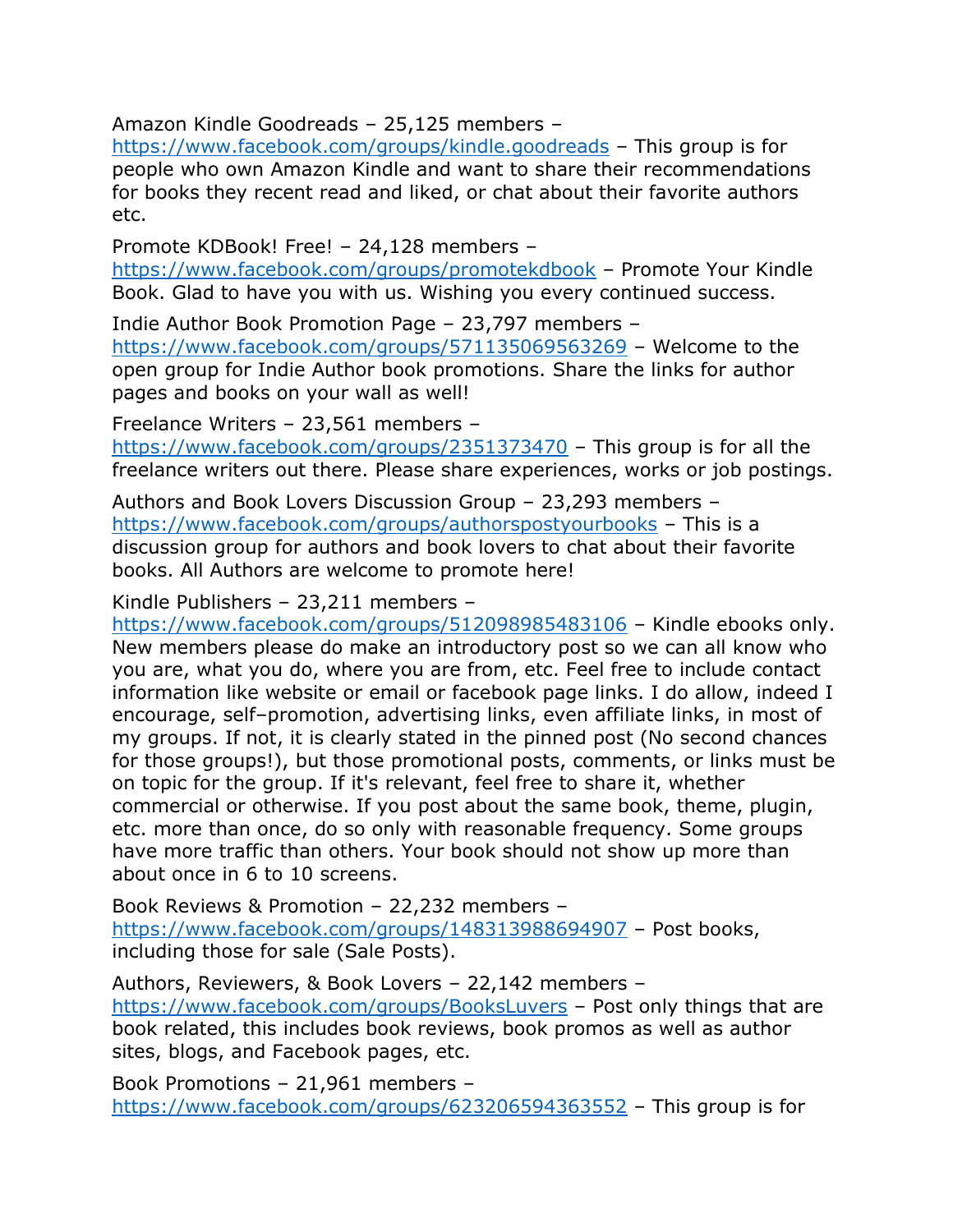Amazon Kindle Goodreads – 25,125 members –

<https://www.facebook.com/groups/kindle.goodreads> – This group is for people who own Amazon Kindle and want to share their recommendations for books they recent read and liked, or chat about their favorite authors etc.

Promote KDBook! Free! – 24,128 members –

<https://www.facebook.com/groups/promotekdbook> – Promote Your Kindle Book. Glad to have you with us. Wishing you every continued success.

Indie Author Book Promotion Page – 23,797 members – <https://www.facebook.com/groups/571135069563269> – Welcome to the open group for Indie Author book promotions. Share the links for author pages and books on your wall as well!

Freelance Writers – 23,561 members –

<https://www.facebook.com/groups/2351373470> – This group is for all the freelance writers out there. Please share experiences, works or job postings.

Authors and Book Lovers Discussion Group – 23,293 members – <https://www.facebook.com/groups/authorspostyourbooks> – This is a discussion group for authors and book lovers to chat about their favorite books. All Authors are welcome to promote here!

Kindle Publishers – 23,211 members –

<https://www.facebook.com/groups/512098985483106> – Kindle ebooks only. New members please do make an introductory post so we can all know who you are, what you do, where you are from, etc. Feel free to include contact information like website or email or facebook page links. I do allow, indeed I encourage, self–promotion, advertising links, even affiliate links, in most of my groups. If not, it is clearly stated in the pinned post (No second chances for those groups!), but those promotional posts, comments, or links must be on topic for the group. If it's relevant, feel free to share it, whether commercial or otherwise. If you post about the same book, theme, plugin, etc. more than once, do so only with reasonable frequency. Some groups have more traffic than others. Your book should not show up more than about once in 6 to 10 screens.

Book Reviews & Promotion – 22,232 members – <https://www.facebook.com/groups/148313988694907> – Post books, including those for sale (Sale Posts).

Authors, Reviewers, & Book Lovers – 22,142 members – <https://www.facebook.com/groups/BooksLuvers> – Post only things that are book related, this includes book reviews, book promos as well as author sites, blogs, and Facebook pages, etc.

Book Promotions – 21,961 members – <https://www.facebook.com/groups/623206594363552> – This group is for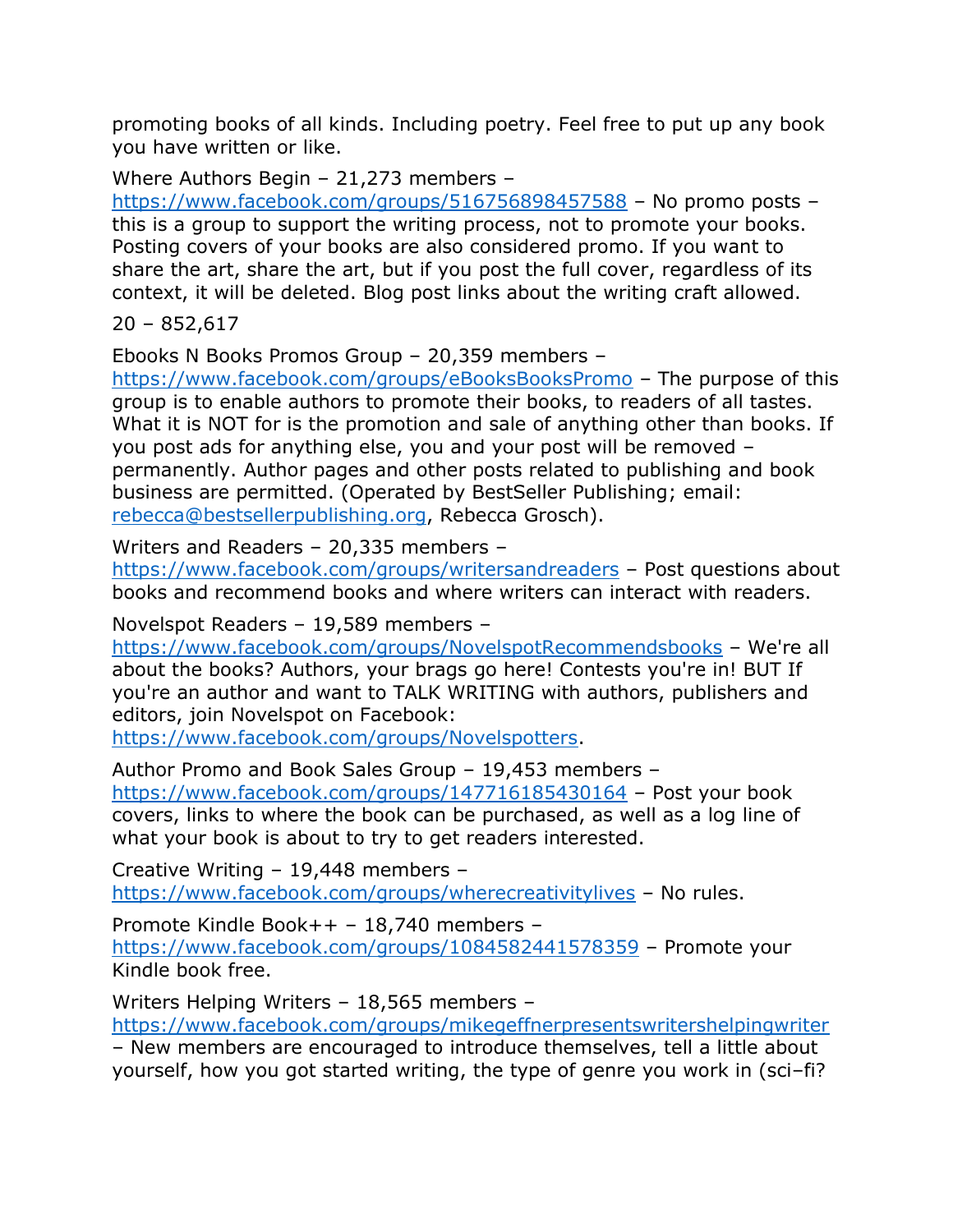promoting books of all kinds. Including poetry. Feel free to put up any book you have written or like.

Where Authors Begin – 21,273 members –

<https://www.facebook.com/groups/516756898457588> – No promo posts – this is a group to support the writing process, not to promote your books. Posting covers of your books are also considered promo. If you want to share the art, share the art, but if you post the full cover, regardless of its context, it will be deleted. Blog post links about the writing craft allowed.

20 – 852,617

Ebooks N Books Promos Group – 20,359 members –

<https://www.facebook.com/groups/eBooksBooksPromo> – The purpose of this group is to enable authors to promote their books, to readers of all tastes. What it is NOT for is the promotion and sale of anything other than books. If you post ads for anything else, you and your post will be removed – permanently. Author pages and other posts related to publishing and book business are permitted. (Operated by BestSeller Publishing; email: [rebecca@bestsellerpublishing.org,](mailto:rebecca@bestsellerpublishing.org) Rebecca Grosch).

Writers and Readers – 20,335 members –

<https://www.facebook.com/groups/writersandreaders> – Post questions about books and recommend books and where writers can interact with readers.

Novelspot Readers – 19,589 members –

<https://www.facebook.com/groups/NovelspotRecommendsbooks> – We're all about the books? Authors, your brags go here! Contests you're in! BUT If you're an author and want to TALK WRITING with authors, publishers and editors, join Novelspot on Facebook:

[https://www.facebook.com/groups/Novelspotters.](https://www.facebook.com/groups/Novelspotters)

Author Promo and Book Sales Group – 19,453 members – <https://www.facebook.com/groups/147716185430164> – Post your book covers, links to where the book can be purchased, as well as a log line of what your book is about to try to get readers interested.

Creative Writing – 19,448 members – <https://www.facebook.com/groups/wherecreativitylives> – No rules.

Promote Kindle Book++ – 18,740 members –

<https://www.facebook.com/groups/1084582441578359> – Promote your Kindle book free.

Writers Helping Writers – 18,565 members –

<https://www.facebook.com/groups/mikegeffnerpresentswritershelpingwriter>

– New members are encouraged to introduce themselves, tell a little about yourself, how you got started writing, the type of genre you work in (sci–fi?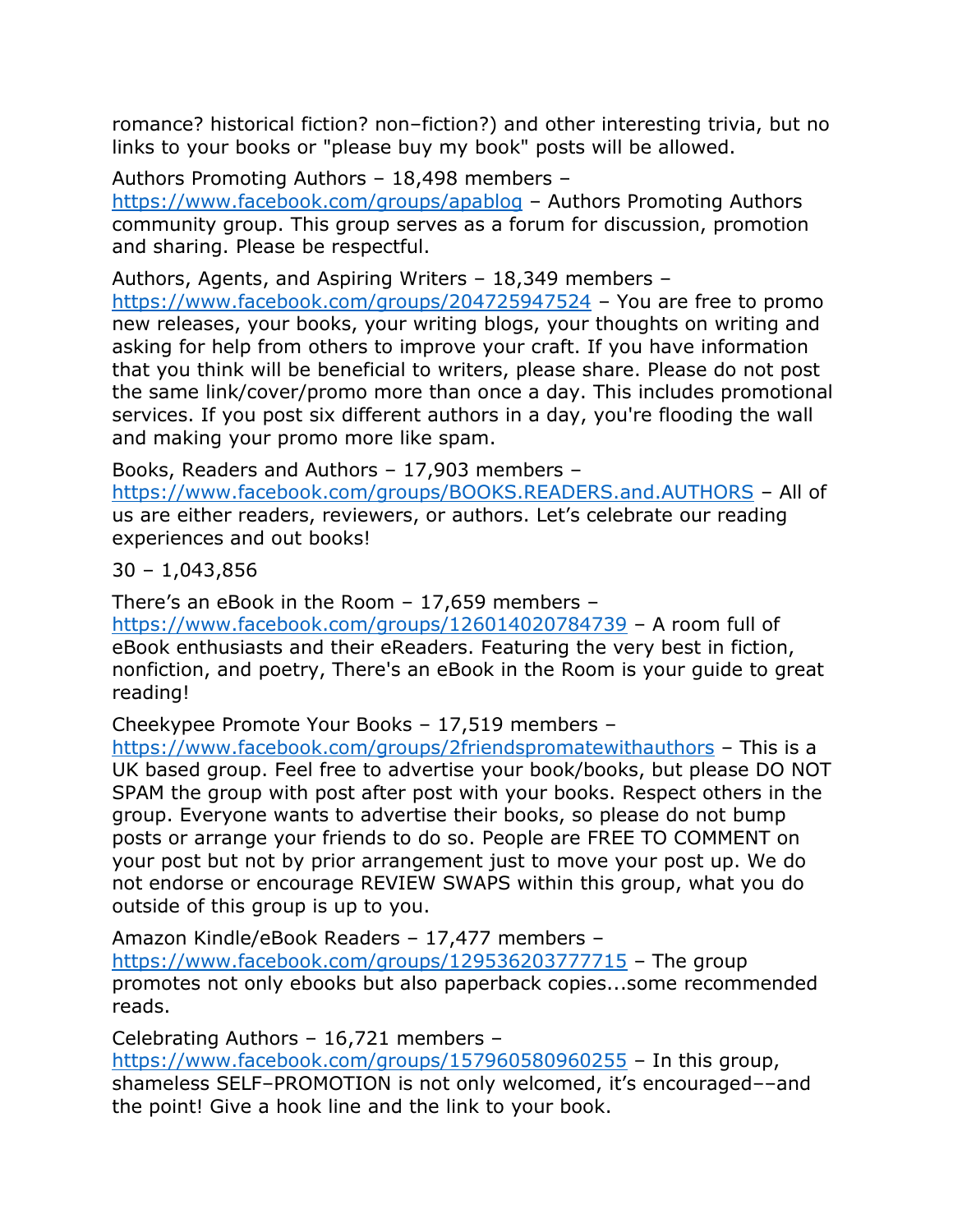romance? historical fiction? non–fiction?) and other interesting trivia, but no links to your books or "please buy my book" posts will be allowed.

Authors Promoting Authors – 18,498 members –

<https://www.facebook.com/groups/apablog> – Authors Promoting Authors community group. This group serves as a forum for discussion, promotion and sharing. Please be respectful.

Authors, Agents, and Aspiring Writers – 18,349 members –

<https://www.facebook.com/groups/204725947524> – You are free to promo new releases, your books, your writing blogs, your thoughts on writing and asking for help from others to improve your craft. If you have information that you think will be beneficial to writers, please share. Please do not post the same link/cover/promo more than once a day. This includes promotional services. If you post six different authors in a day, you're flooding the wall and making your promo more like spam.

Books, Readers and Authors – 17,903 members –

<https://www.facebook.com/groups/BOOKS.READERS.and.AUTHORS> – All of us are either readers, reviewers, or authors. Let's celebrate our reading experiences and out books!

30 – 1,043,856

There's an eBook in the Room – 17,659 members – <https://www.facebook.com/groups/126014020784739> – A room full of eBook enthusiasts and their eReaders. Featuring the very best in fiction, nonfiction, and poetry, There's an eBook in the Room is your guide to great reading!

Cheekypee Promote Your Books – 17,519 members –

<https://www.facebook.com/groups/2friendspromatewithauthors> – This is a UK based group. Feel free to advertise your book/books, but please DO NOT SPAM the group with post after post with your books. Respect others in the group. Everyone wants to advertise their books, so please do not bump posts or arrange your friends to do so. People are FREE TO COMMENT on your post but not by prior arrangement just to move your post up. We do not endorse or encourage REVIEW SWAPS within this group, what you do outside of this group is up to you.

Amazon Kindle/eBook Readers – 17,477 members – <https://www.facebook.com/groups/129536203777715> – The group promotes not only ebooks but also paperback copies...some recommended reads.

Celebrating Authors – 16,721 members – <https://www.facebook.com/groups/157960580960255> – In this group, shameless SELF–PROMOTION is not only welcomed, it's encouraged––and the point! Give a hook line and the link to your book.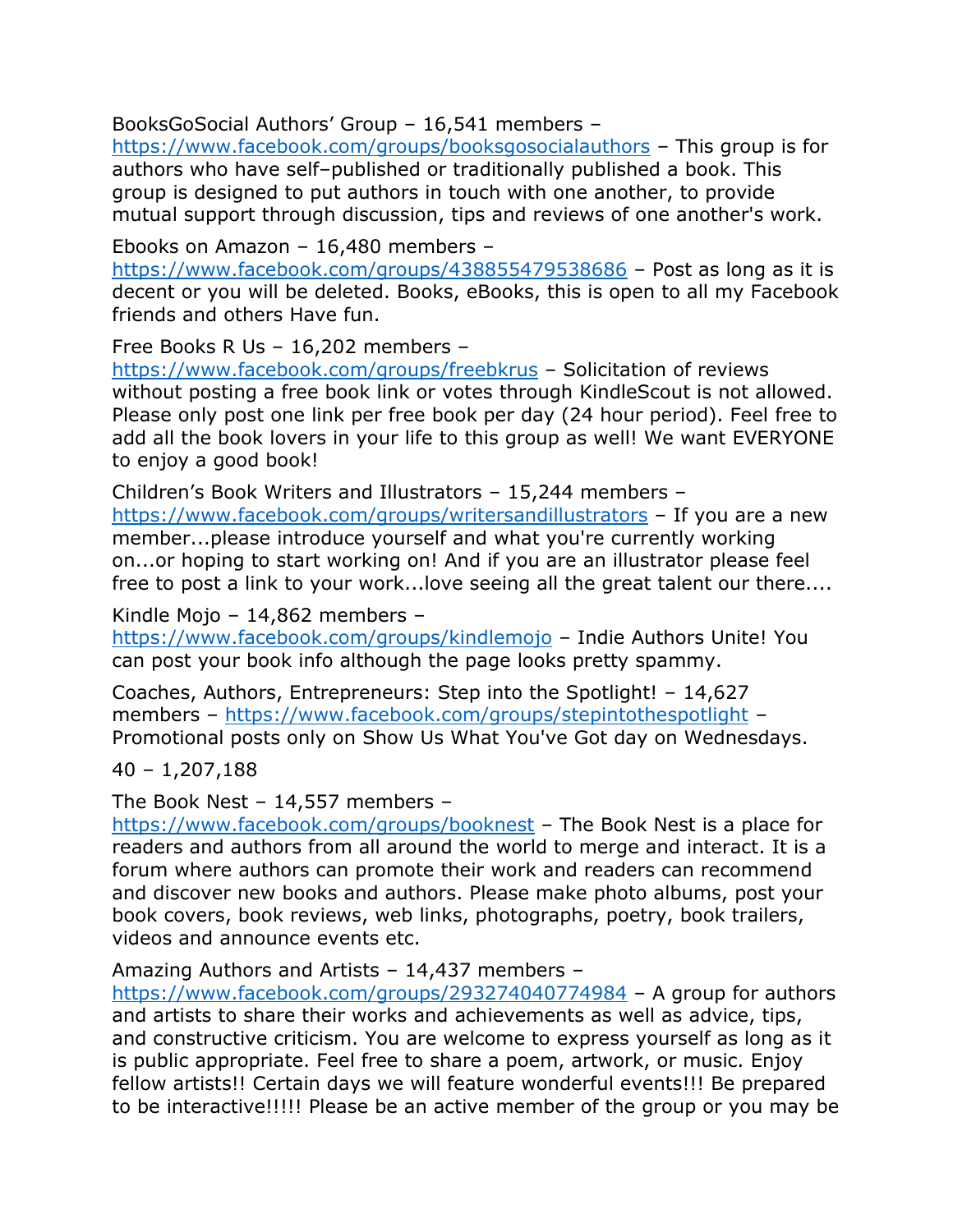BooksGoSocial Authors' Group – 16,541 members –

<https://www.facebook.com/groups/booksgosocialauthors> – This group is for authors who have self–published or traditionally published a book. This group is designed to put authors in touch with one another, to provide mutual support through discussion, tips and reviews of one another's work.

Ebooks on Amazon – 16,480 members –

<https://www.facebook.com/groups/438855479538686> – Post as long as it is decent or you will be deleted. Books, eBooks, this is open to all my Facebook friends and others Have fun.

Free Books R Us – 16,202 members –

<https://www.facebook.com/groups/freebkrus> – Solicitation of reviews without posting a free book link or votes through KindleScout is not allowed. Please only post one link per free book per day (24 hour period). Feel free to add all the book lovers in your life to this group as well! We want EVERYONE to enjoy a good book!

Children's Book Writers and Illustrators – 15,244 members – <https://www.facebook.com/groups/writersandillustrators> – If you are a new member...please introduce yourself and what you're currently working on...or hoping to start working on! And if you are an illustrator please feel free to post a link to your work...love seeing all the great talent our there....

Kindle Mojo – 14,862 members –

<https://www.facebook.com/groups/kindlemojo> – Indie Authors Unite! You can post your book info although the page looks pretty spammy.

Coaches, Authors, Entrepreneurs: Step into the Spotlight! – 14,627 members – <https://www.facebook.com/groups/stepintothespotlight> – Promotional posts only on Show Us What You've Got day on Wednesdays.

40 – 1,207,188

The Book Nest – 14,557 members –

<https://www.facebook.com/groups/booknest> – The Book Nest is a place for readers and authors from all around the world to merge and interact. It is a forum where authors can promote their work and readers can recommend and discover new books and authors. Please make photo albums, post your book covers, book reviews, web links, photographs, poetry, book trailers, videos and announce events etc.

Amazing Authors and Artists – 14,437 members –

<https://www.facebook.com/groups/293274040774984> – A group for authors and artists to share their works and achievements as well as advice, tips, and constructive criticism. You are welcome to express yourself as long as it is public appropriate. Feel free to share a poem, artwork, or music. Enjoy fellow artists!! Certain days we will feature wonderful events!!! Be prepared to be interactive!!!!! Please be an active member of the group or you may be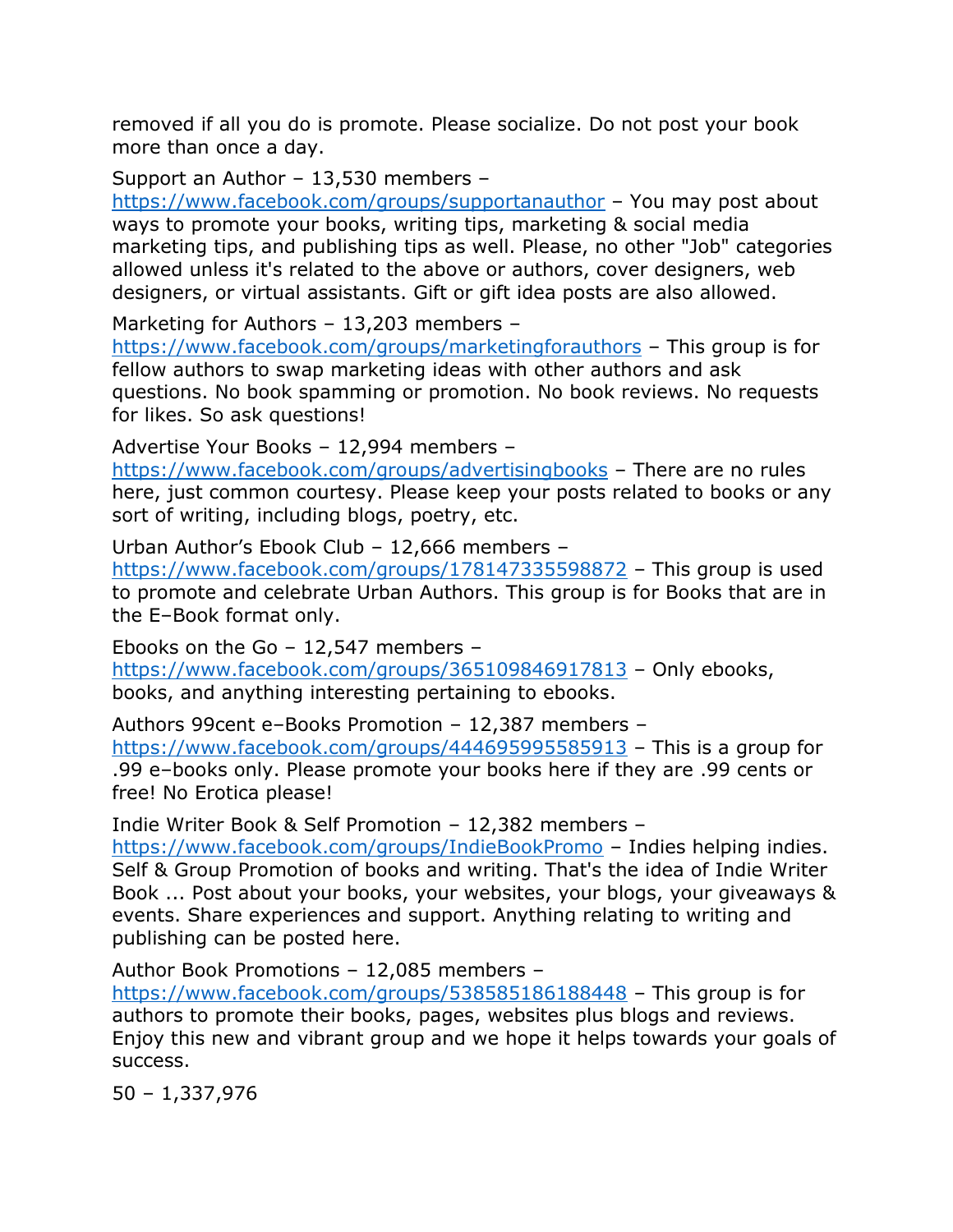removed if all you do is promote. Please socialize. Do not post your book more than once a day.

Support an Author – 13,530 members –

<https://www.facebook.com/groups/supportanauthor> – You may post about ways to promote your books, writing tips, marketing & social media marketing tips, and publishing tips as well. Please, no other "Job" categories allowed unless it's related to the above or authors, cover designers, web designers, or virtual assistants. Gift or gift idea posts are also allowed.

Marketing for Authors – 13,203 members –

<https://www.facebook.com/groups/marketingforauthors> – This group is for fellow authors to swap marketing ideas with other authors and ask questions. No book spamming or promotion. No book reviews. No requests for likes. So ask questions!

Advertise Your Books – 12,994 members –

<https://www.facebook.com/groups/advertisingbooks> – There are no rules here, just common courtesy. Please keep your posts related to books or any sort of writing, including blogs, poetry, etc.

Urban Author's Ebook Club – 12,666 members –

<https://www.facebook.com/groups/178147335598872> – This group is used to promote and celebrate Urban Authors. This group is for Books that are in the E–Book format only.

Ebooks on the Go – 12,547 members – <https://www.facebook.com/groups/365109846917813> – Only ebooks, books, and anything interesting pertaining to ebooks.

Authors 99cent e–Books Promotion – 12,387 members – <https://www.facebook.com/groups/444695995585913> – This is a group for .99 e–books only. Please promote your books here if they are .99 cents or free! No Erotica please!

Indie Writer Book & Self Promotion – 12,382 members –

<https://www.facebook.com/groups/IndieBookPromo> – Indies helping indies. Self & Group Promotion of books and writing. That's the idea of Indie Writer Book ... Post about your books, your websites, your blogs, your giveaways & events. Share experiences and support. Anything relating to writing and publishing can be posted here.

Author Book Promotions – 12,085 members –

<https://www.facebook.com/groups/538585186188448> – This group is for authors to promote their books, pages, websites plus blogs and reviews. Enjoy this new and vibrant group and we hope it helps towards your goals of success.

50 – 1,337,976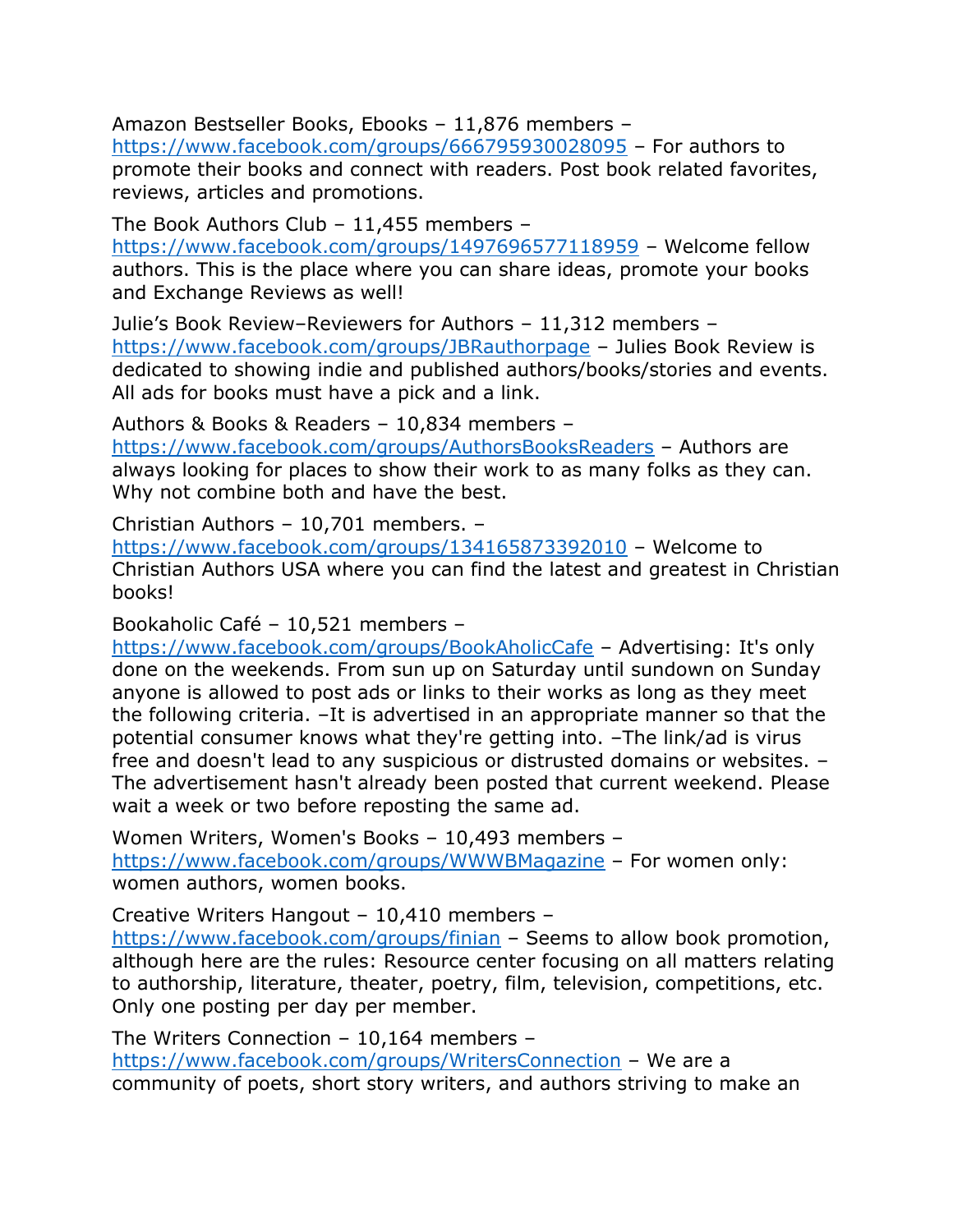Amazon Bestseller Books, Ebooks – 11,876 members –

<https://www.facebook.com/groups/666795930028095> – For authors to promote their books and connect with readers. Post book related favorites, reviews, articles and promotions.

The Book Authors Club – 11,455 members –

<https://www.facebook.com/groups/1497696577118959> – Welcome fellow authors. This is the place where you can share ideas, promote your books and Exchange Reviews as well!

Julie's Book Review–Reviewers for Authors – 11,312 members – <https://www.facebook.com/groups/JBRauthorpage> – Julies Book Review is dedicated to showing indie and published authors/books/stories and events. All ads for books must have a pick and a link.

Authors & Books & Readers – 10,834 members –

<https://www.facebook.com/groups/AuthorsBooksReaders> – Authors are always looking for places to show their work to as many folks as they can. Why not combine both and have the best.

Christian Authors – 10,701 members. –

<https://www.facebook.com/groups/134165873392010> – Welcome to Christian Authors USA where you can find the latest and greatest in Christian books!

Bookaholic Café – 10,521 members –

<https://www.facebook.com/groups/BookAholicCafe> – Advertising: It's only done on the weekends. From sun up on Saturday until sundown on Sunday anyone is allowed to post ads or links to their works as long as they meet the following criteria. –It is advertised in an appropriate manner so that the potential consumer knows what they're getting into. –The link/ad is virus free and doesn't lead to any suspicious or distrusted domains or websites. – The advertisement hasn't already been posted that current weekend. Please wait a week or two before reposting the same ad.

Women Writers, Women's Books – 10,493 members – <https://www.facebook.com/groups/WWWBMagazine> – For women only: women authors, women books.

Creative Writers Hangout – 10,410 members –

<https://www.facebook.com/groups/finian> – Seems to allow book promotion, although here are the rules: Resource center focusing on all matters relating to authorship, literature, theater, poetry, film, television, competitions, etc. Only one posting per day per member.

The Writers Connection – 10,164 members – <https://www.facebook.com/groups/WritersConnection> – We are a community of poets, short story writers, and authors striving to make an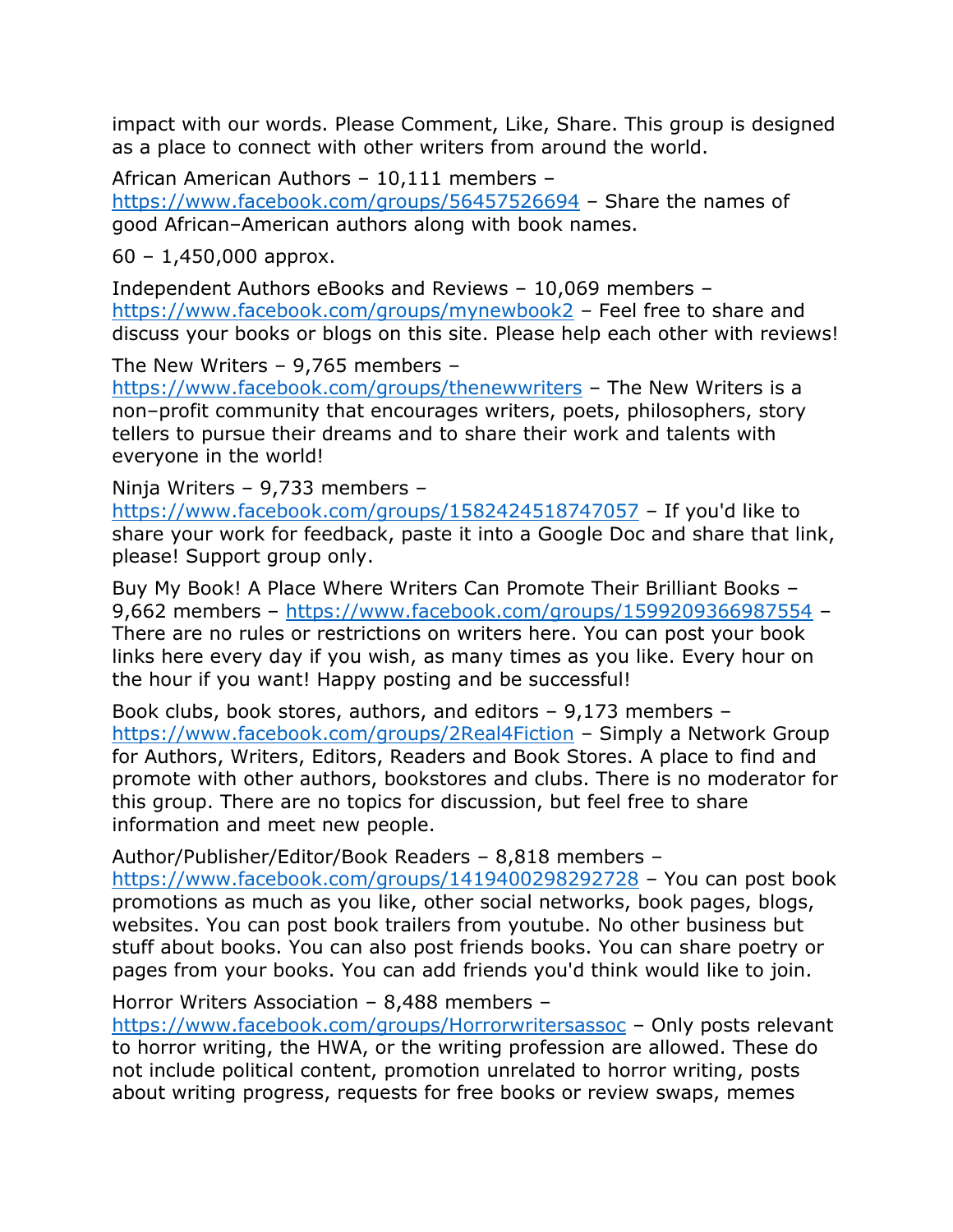impact with our words. Please Comment, Like, Share. This group is designed as a place to connect with other writers from around the world.

African American Authors – 10,111 members – <https://www.facebook.com/groups/56457526694> – Share the names of good African–American authors along with book names.

60 – 1,450,000 approx.

Independent Authors eBooks and Reviews – 10,069 members – <https://www.facebook.com/groups/mynewbook2> – Feel free to share and discuss your books or blogs on this site. Please help each other with reviews!

The New Writers – 9,765 members –

<https://www.facebook.com/groups/thenewwriters> – The New Writers is a non–profit community that encourages writers, poets, philosophers, story tellers to pursue their dreams and to share their work and talents with everyone in the world!

Ninja Writers – 9,733 members –

<https://www.facebook.com/groups/1582424518747057> – If you'd like to share your work for feedback, paste it into a Google Doc and share that link, please! Support group only.

Buy My Book! A Place Where Writers Can Promote Their Brilliant Books – 9,662 members – <https://www.facebook.com/groups/1599209366987554> – There are no rules or restrictions on writers here. You can post your book links here every day if you wish, as many times as you like. Every hour on the hour if you want! Happy posting and be successful!

Book clubs, book stores, authors, and editors – 9,173 members – <https://www.facebook.com/groups/2Real4Fiction> – Simply a Network Group for Authors, Writers, Editors, Readers and Book Stores. A place to find and promote with other authors, bookstores and clubs. There is no moderator for this group. There are no topics for discussion, but feel free to share information and meet new people.

Author/Publisher/Editor/Book Readers – 8,818 members –

<https://www.facebook.com/groups/1419400298292728> – You can post book promotions as much as you like, other social networks, book pages, blogs, websites. You can post book trailers from youtube. No other business but stuff about books. You can also post friends books. You can share poetry or pages from your books. You can add friends you'd think would like to join.

Horror Writers Association – 8,488 members –

<https://www.facebook.com/groups/Horrorwritersassoc> – Only posts relevant to horror writing, the HWA, or the writing profession are allowed. These do not include political content, promotion unrelated to horror writing, posts about writing progress, requests for free books or review swaps, memes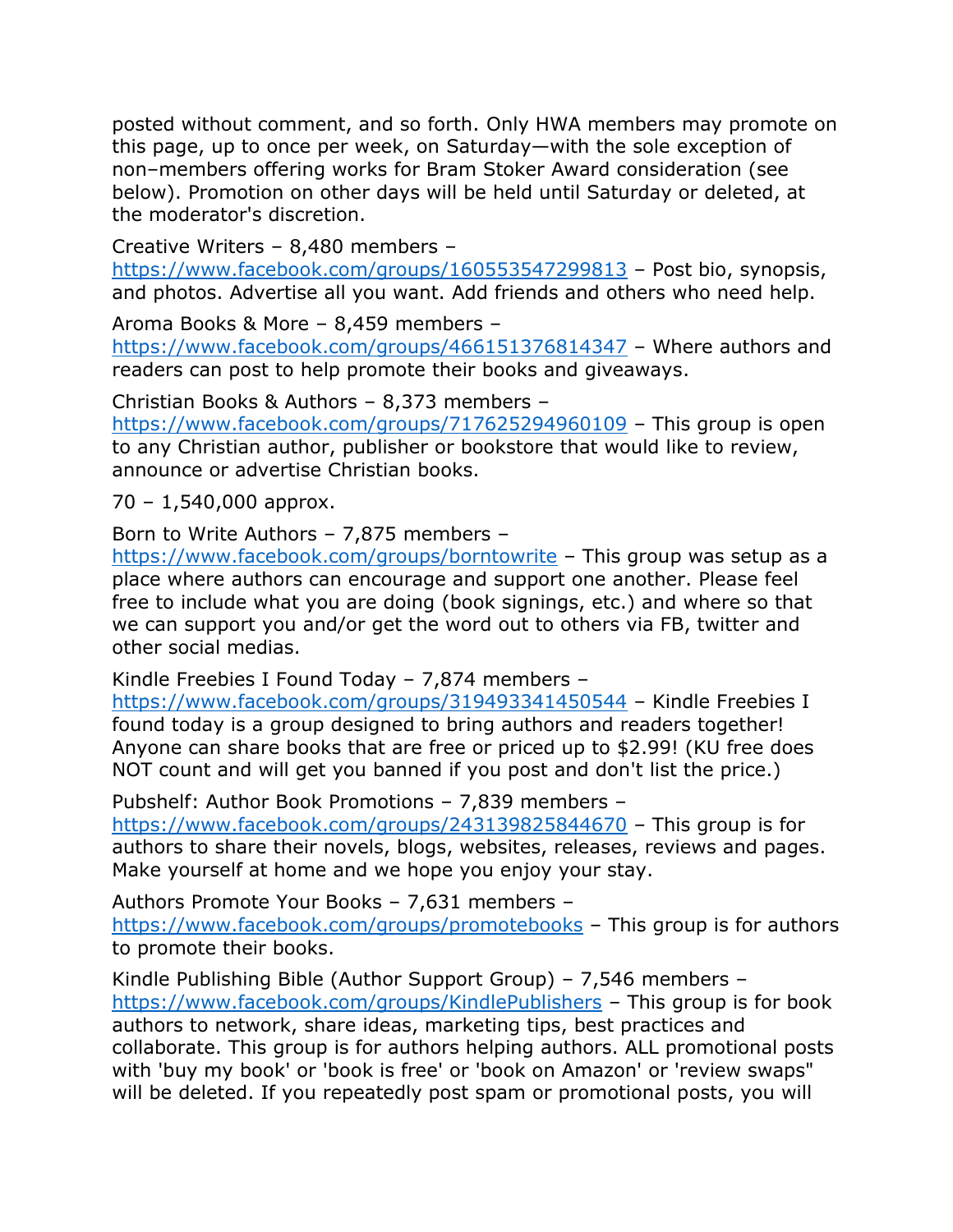posted without comment, and so forth. Only HWA members may promote on this page, up to once per week, on Saturday—with the sole exception of non–members offering works for Bram Stoker Award consideration (see below). Promotion on other days will be held until Saturday or deleted, at the moderator's discretion.

Creative Writers – 8,480 members –

<https://www.facebook.com/groups/160553547299813> – Post bio, synopsis, and photos. Advertise all you want. Add friends and others who need help.

Aroma Books & More – 8,459 members –

<https://www.facebook.com/groups/466151376814347> – Where authors and readers can post to help promote their books and giveaways.

Christian Books & Authors – 8,373 members –

<https://www.facebook.com/groups/717625294960109> – This group is open to any Christian author, publisher or bookstore that would like to review, announce or advertise Christian books.

70 – 1,540,000 approx.

Born to Write Authors – 7,875 members –

<https://www.facebook.com/groups/borntowrite> – This group was setup as a place where authors can encourage and support one another. Please feel free to include what you are doing (book signings, etc.) and where so that we can support you and/or get the word out to others via FB, twitter and other social medias.

Kindle Freebies I Found Today – 7,874 members –

<https://www.facebook.com/groups/319493341450544> – Kindle Freebies I found today is a group designed to bring authors and readers together! Anyone can share books that are free or priced up to \$2.99! (KU free does NOT count and will get you banned if you post and don't list the price.)

Pubshelf: Author Book Promotions – 7,839 members –

<https://www.facebook.com/groups/243139825844670> – This group is for authors to share their novels, blogs, websites, releases, reviews and pages. Make yourself at home and we hope you enjoy your stay.

Authors Promote Your Books – 7,631 members – <https://www.facebook.com/groups/promotebooks> – This group is for authors to promote their books.

Kindle Publishing Bible (Author Support Group) – 7,546 members – <https://www.facebook.com/groups/KindlePublishers> – This group is for book authors to network, share ideas, marketing tips, best practices and collaborate. This group is for authors helping authors. ALL promotional posts with 'buy my book' or 'book is free' or 'book on Amazon' or 'review swaps" will be deleted. If you repeatedly post spam or promotional posts, you will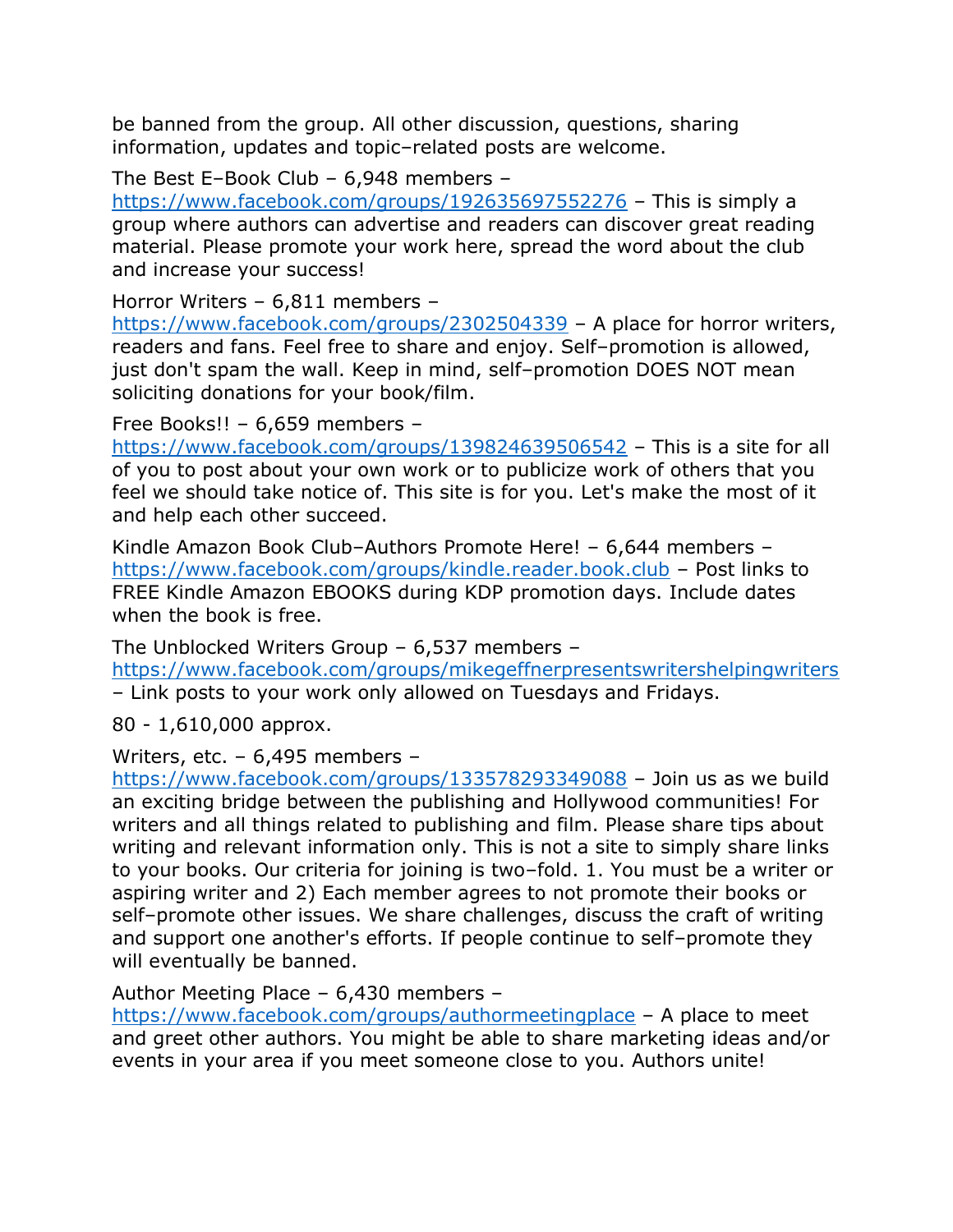be banned from the group. All other discussion, questions, sharing information, updates and topic–related posts are welcome.

The Best E–Book Club – 6,948 members –

<https://www.facebook.com/groups/192635697552276> – This is simply a group where authors can advertise and readers can discover great reading material. Please promote your work here, spread the word about the club and increase your success!

Horror Writers – 6,811 members –

<https://www.facebook.com/groups/2302504339> – A place for horror writers, readers and fans. Feel free to share and enjoy. Self–promotion is allowed, just don't spam the wall. Keep in mind, self–promotion DOES NOT mean soliciting donations for your book/film.

Free Books!! – 6,659 members –

<https://www.facebook.com/groups/139824639506542> – This is a site for all of you to post about your own work or to publicize work of others that you feel we should take notice of. This site is for you. Let's make the most of it and help each other succeed.

Kindle Amazon Book Club–Authors Promote Here! – 6,644 members – <https://www.facebook.com/groups/kindle.reader.book.club> – Post links to FREE Kindle Amazon EBOOKS during KDP promotion days. Include dates when the book is free.

The Unblocked Writers Group – 6,537 members –

<https://www.facebook.com/groups/mikegeffnerpresentswritershelpingwriters> – Link posts to your work only allowed on Tuesdays and Fridays.

80 - 1,610,000 approx.

Writers, etc. – 6,495 members –

<https://www.facebook.com/groups/133578293349088> – Join us as we build an exciting bridge between the publishing and Hollywood communities! For writers and all things related to publishing and film. Please share tips about writing and relevant information only. This is not a site to simply share links to your books. Our criteria for joining is two–fold. 1. You must be a writer or aspiring writer and 2) Each member agrees to not promote their books or self–promote other issues. We share challenges, discuss the craft of writing and support one another's efforts. If people continue to self–promote they will eventually be banned.

Author Meeting Place – 6,430 members –

<https://www.facebook.com/groups/authormeetingplace> – A place to meet and greet other authors. You might be able to share marketing ideas and/or events in your area if you meet someone close to you. Authors unite!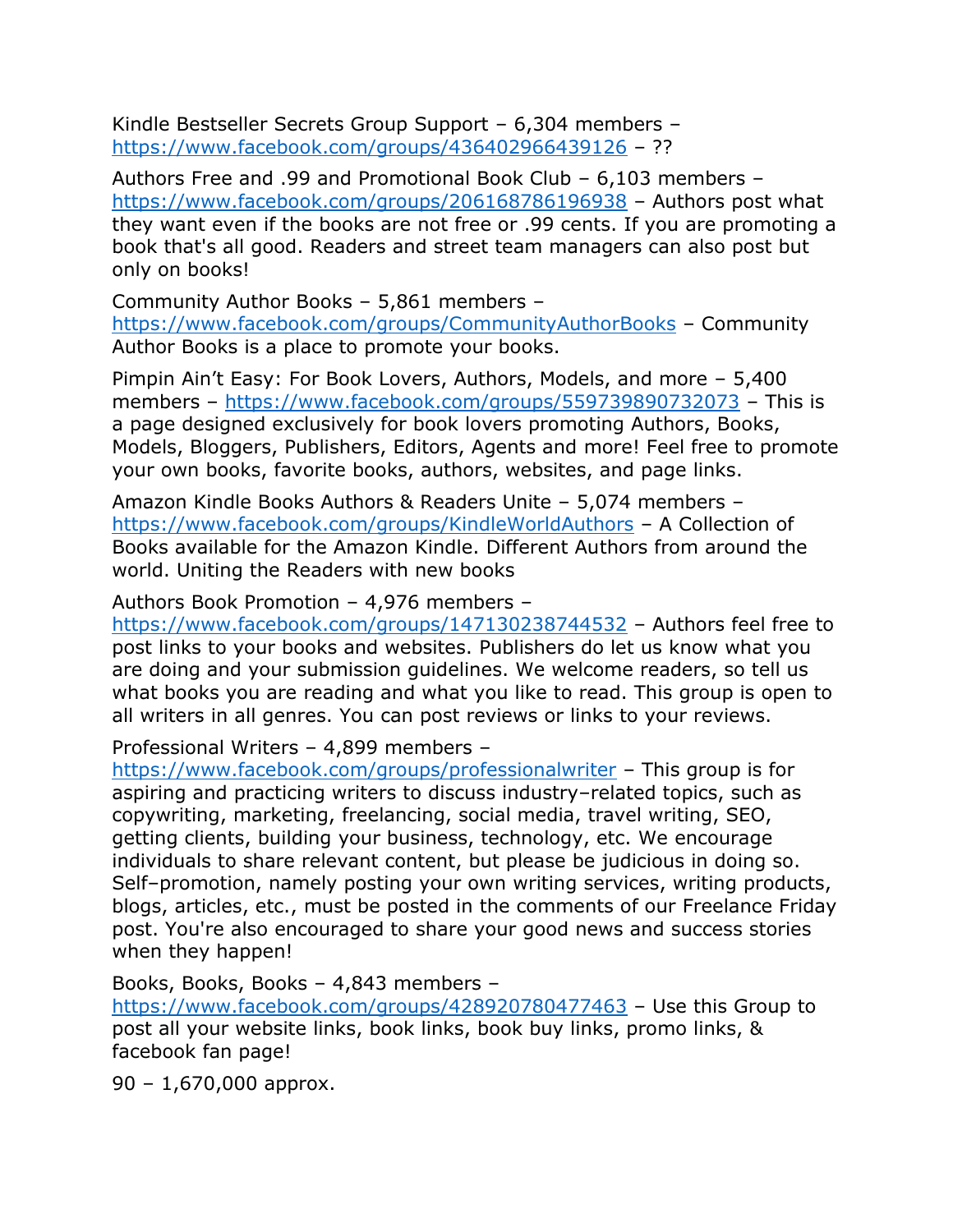Kindle Bestseller Secrets Group Support – 6,304 members – <https://www.facebook.com/groups/436402966439126> – ??

Authors Free and .99 and Promotional Book Club – 6,103 members – <https://www.facebook.com/groups/206168786196938> – Authors post what they want even if the books are not free or .99 cents. If you are promoting a book that's all good. Readers and street team managers can also post but only on books!

Community Author Books – 5,861 members – <https://www.facebook.com/groups/CommunityAuthorBooks> – Community Author Books is a place to promote your books.

Pimpin Ain't Easy: For Book Lovers, Authors, Models, and more – 5,400 members – <https://www.facebook.com/groups/559739890732073> – This is a page designed exclusively for book lovers promoting Authors, Books, Models, Bloggers, Publishers, Editors, Agents and more! Feel free to promote your own books, favorite books, authors, websites, and page links.

Amazon Kindle Books Authors & Readers Unite – 5,074 members – <https://www.facebook.com/groups/KindleWorldAuthors> – A Collection of Books available for the Amazon Kindle. Different Authors from around the world. Uniting the Readers with new books

Authors Book Promotion – 4,976 members –

<https://www.facebook.com/groups/147130238744532> – Authors feel free to post links to your books and websites. Publishers do let us know what you are doing and your submission guidelines. We welcome readers, so tell us what books you are reading and what you like to read. This group is open to all writers in all genres. You can post reviews or links to your reviews.

Professional Writers – 4,899 members –

<https://www.facebook.com/groups/professionalwriter> – This group is for aspiring and practicing writers to discuss industry–related topics, such as copywriting, marketing, freelancing, social media, travel writing, SEO, getting clients, building your business, technology, etc. We encourage individuals to share relevant content, but please be judicious in doing so. Self–promotion, namely posting your own writing services, writing products, blogs, articles, etc., must be posted in the comments of our Freelance Friday post. You're also encouraged to share your good news and success stories when they happen!

Books, Books, Books – 4,843 members – <https://www.facebook.com/groups/428920780477463> – Use this Group to post all your website links, book links, book buy links, promo links, & facebook fan page!

90 – 1,670,000 approx.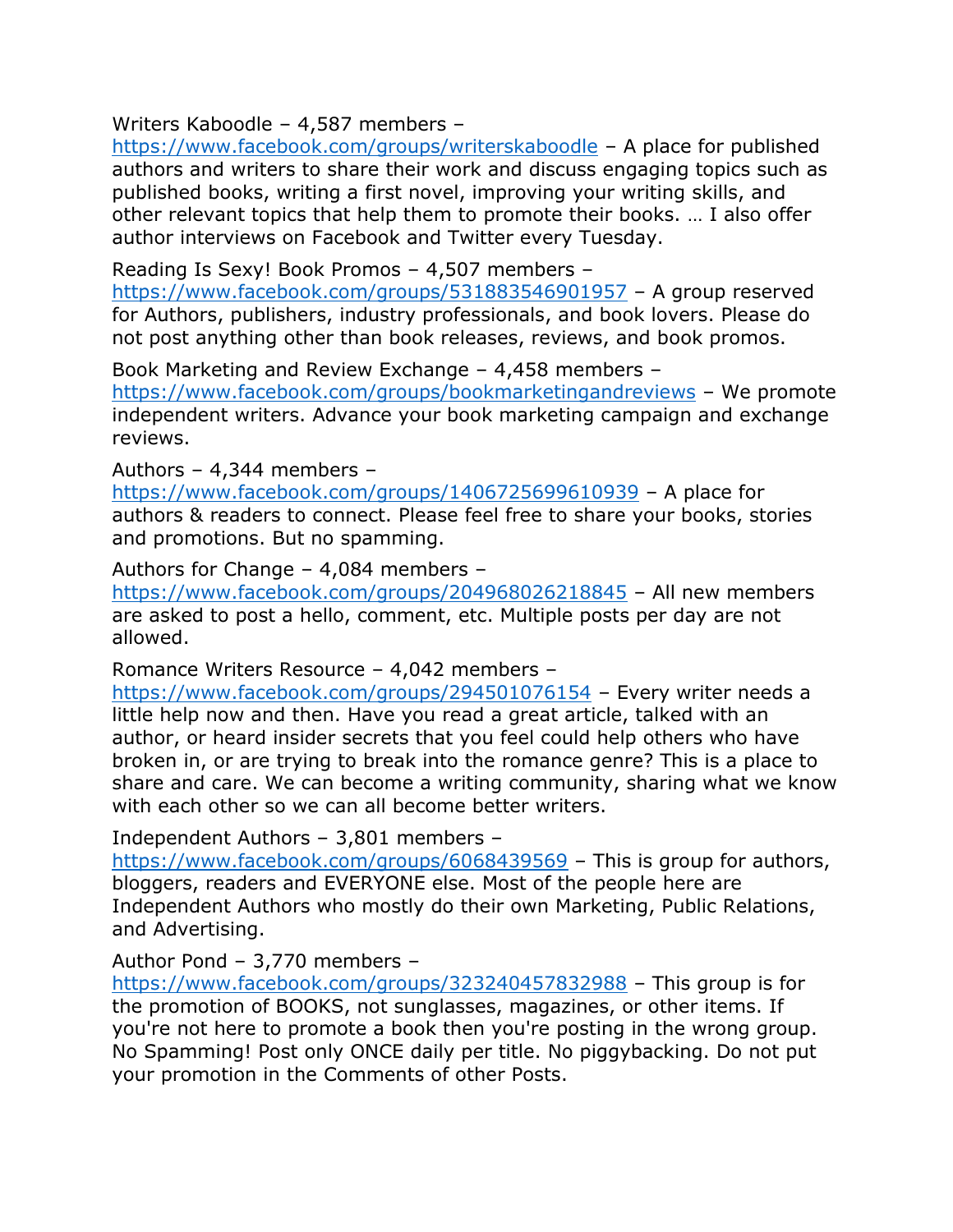Writers Kaboodle – 4,587 members –

<https://www.facebook.com/groups/writerskaboodle> – A place for published authors and writers to share their work and discuss engaging topics such as published books, writing a first novel, improving your writing skills, and other relevant topics that help them to promote their books. … I also offer author interviews on Facebook and Twitter every Tuesday.

Reading Is Sexy! Book Promos – 4,507 members –

<https://www.facebook.com/groups/531883546901957> – A group reserved for Authors, publishers, industry professionals, and book lovers. Please do not post anything other than book releases, reviews, and book promos.

Book Marketing and Review Exchange – 4,458 members – <https://www.facebook.com/groups/bookmarketingandreviews> – We promote independent writers. Advance your book marketing campaign and exchange reviews.

Authors – 4,344 members –

<https://www.facebook.com/groups/1406725699610939> – A place for authors & readers to connect. Please feel free to share your books, stories and promotions. But no spamming.

Authors for Change – 4,084 members –

<https://www.facebook.com/groups/204968026218845> – All new members are asked to post a hello, comment, etc. Multiple posts per day are not allowed.

Romance Writers Resource – 4,042 members –

<https://www.facebook.com/groups/294501076154> – Every writer needs a little help now and then. Have you read a great article, talked with an author, or heard insider secrets that you feel could help others who have broken in, or are trying to break into the romance genre? This is a place to share and care. We can become a writing community, sharing what we know with each other so we can all become better writers.

Independent Authors – 3,801 members –

<https://www.facebook.com/groups/6068439569> – This is group for authors, bloggers, readers and EVERYONE else. Most of the people here are Independent Authors who mostly do their own Marketing, Public Relations, and Advertising.

Author Pond – 3,770 members –

<https://www.facebook.com/groups/323240457832988> – This group is for the promotion of BOOKS, not sunglasses, magazines, or other items. If you're not here to promote a book then you're posting in the wrong group. No Spamming! Post only ONCE daily per title. No piggybacking. Do not put your promotion in the Comments of other Posts.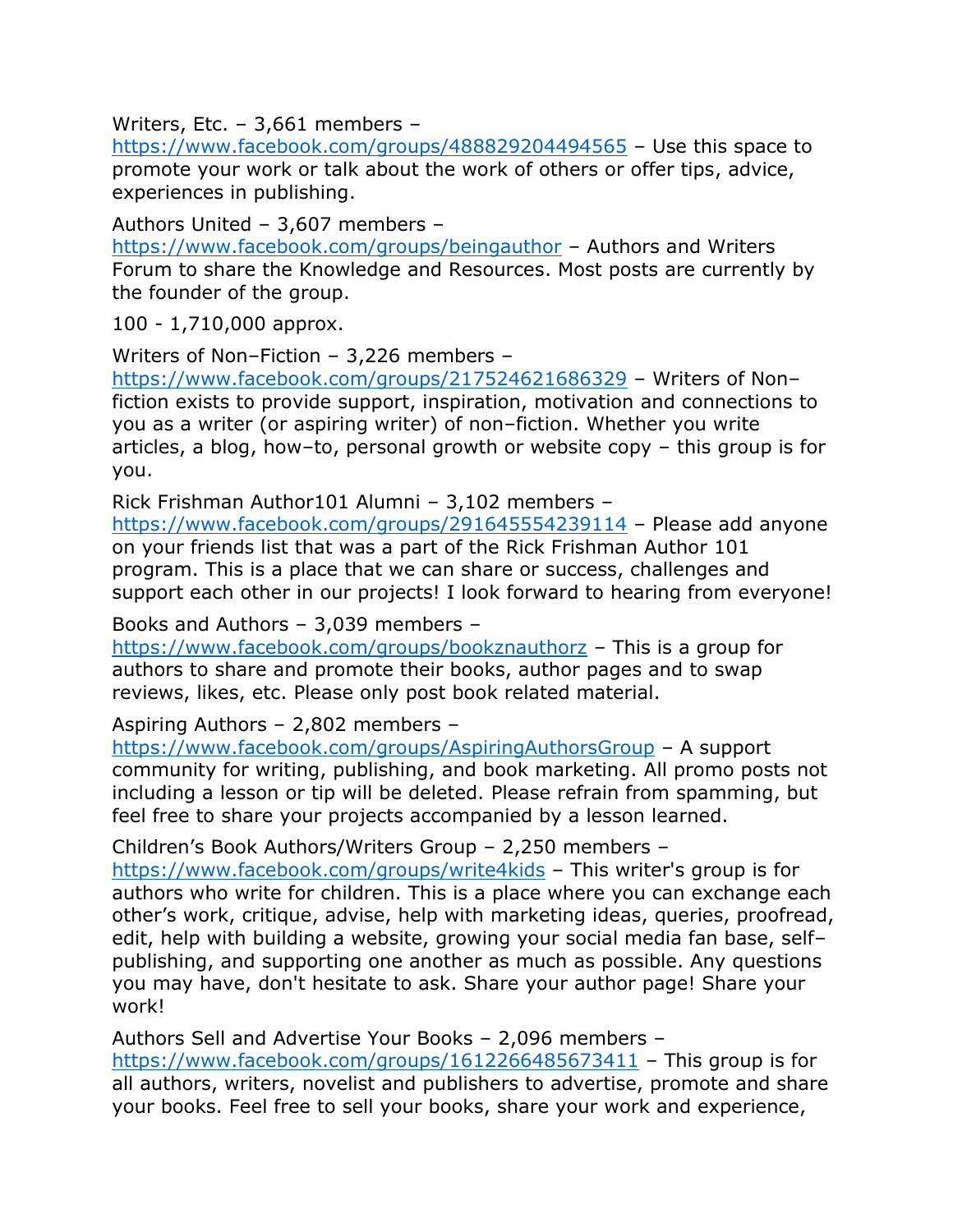Writers, Etc. – 3,661 members –

<https://www.facebook.com/groups/488829204494565> – Use this space to promote your work or talk about the work of others or offer tips, advice, experiences in publishing.

Authors United – 3,607 members –

<https://www.facebook.com/groups/beingauthor> – Authors and Writers Forum to share the Knowledge and Resources. Most posts are currently by the founder of the group.

100 - 1,710,000 approx.

Writers of Non–Fiction – 3,226 members –

<https://www.facebook.com/groups/217524621686329> – Writers of Non– fiction exists to provide support, inspiration, motivation and connections to you as a writer (or aspiring writer) of non–fiction. Whether you write articles, a blog, how–to, personal growth or website copy – this group is for you.

Rick Frishman Author101 Alumni – 3,102 members –

<https://www.facebook.com/groups/291645554239114> – Please add anyone on your friends list that was a part of the Rick Frishman Author 101 program. This is a place that we can share or success, challenges and support each other in our projects! I look forward to hearing from everyone!

Books and Authors – 3,039 members –

<https://www.facebook.com/groups/bookznauthorz> – This is a group for authors to share and promote their books, author pages and to swap reviews, likes, etc. Please only post book related material.

Aspiring Authors – 2,802 members –

<https://www.facebook.com/groups/AspiringAuthorsGroup> – A support community for writing, publishing, and book marketing. All promo posts not including a lesson or tip will be deleted. Please refrain from spamming, but feel free to share your projects accompanied by a lesson learned.

Children's Book Authors/Writers Group – 2,250 members –

<https://www.facebook.com/groups/write4kids> – This writer's group is for authors who write for children. This is a place where you can exchange each other's work, critique, advise, help with marketing ideas, queries, proofread, edit, help with building a website, growing your social media fan base, self– publishing, and supporting one another as much as possible. Any questions you may have, don't hesitate to ask. Share your author page! Share your work!

Authors Sell and Advertise Your Books – 2,096 members – <https://www.facebook.com/groups/1612266485673411> – This group is for all authors, writers, novelist and publishers to advertise, promote and share your books. Feel free to sell your books, share your work and experience,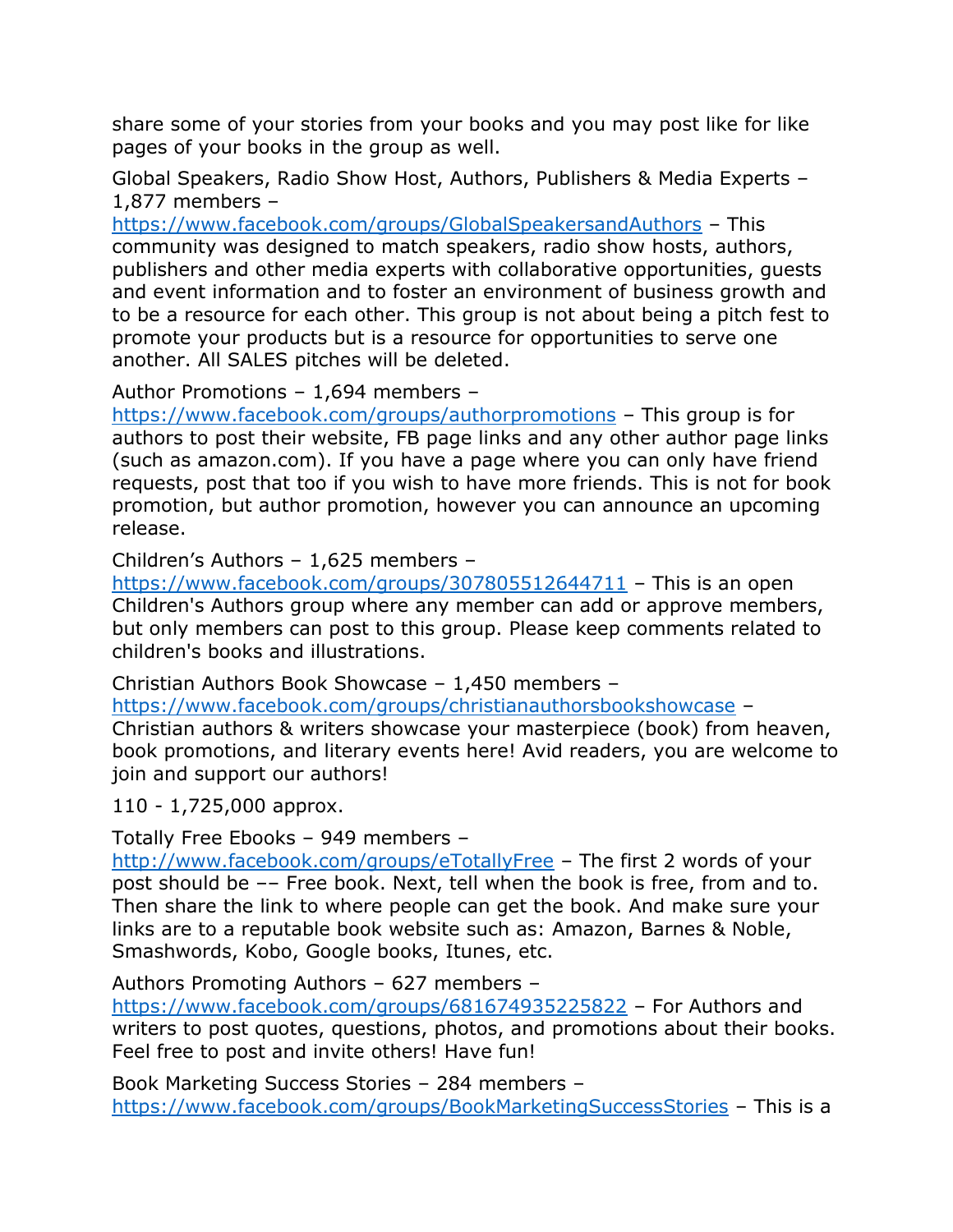share some of your stories from your books and you may post like for like pages of your books in the group as well.

Global Speakers, Radio Show Host, Authors, Publishers & Media Experts – 1,877 members –

<https://www.facebook.com/groups/GlobalSpeakersandAuthors> – This community was designed to match speakers, radio show hosts, authors, publishers and other media experts with collaborative opportunities, guests and event information and to foster an environment of business growth and to be a resource for each other. This group is not about being a pitch fest to promote your products but is a resource for opportunities to serve one another. All SALES pitches will be deleted.

Author Promotions – 1,694 members –

<https://www.facebook.com/groups/authorpromotions> – This group is for authors to post their website, FB page links and any other author page links (such as amazon.com). If you have a page where you can only have friend requests, post that too if you wish to have more friends. This is not for book promotion, but author promotion, however you can announce an upcoming release.

Children's Authors – 1,625 members –

<https://www.facebook.com/groups/307805512644711> – This is an open Children's Authors group where any member can add or approve members, but only members can post to this group. Please keep comments related to children's books and illustrations.

Christian Authors Book Showcase – 1,450 members –

<https://www.facebook.com/groups/christianauthorsbookshowcase> –

Christian authors & writers showcase your masterpiece (book) from heaven, book promotions, and literary events here! Avid readers, you are welcome to join and support our authors!

110 - 1,725,000 approx.

Totally Free Ebooks – 949 members –

<http://www.facebook.com/groups/eTotallyFree> – The first 2 words of your post should be –– Free book. Next, tell when the book is free, from and to. Then share the link to where people can get the book. And make sure your links are to a reputable book website such as: Amazon, Barnes & Noble, Smashwords, Kobo, Google books, Itunes, etc.

Authors Promoting Authors – 627 members –

<https://www.facebook.com/groups/681674935225822> – For Authors and writers to post quotes, questions, photos, and promotions about their books. Feel free to post and invite others! Have fun!

Book Marketing Success Stories – 284 members – <https://www.facebook.com/groups/BookMarketingSuccessStories> – This is a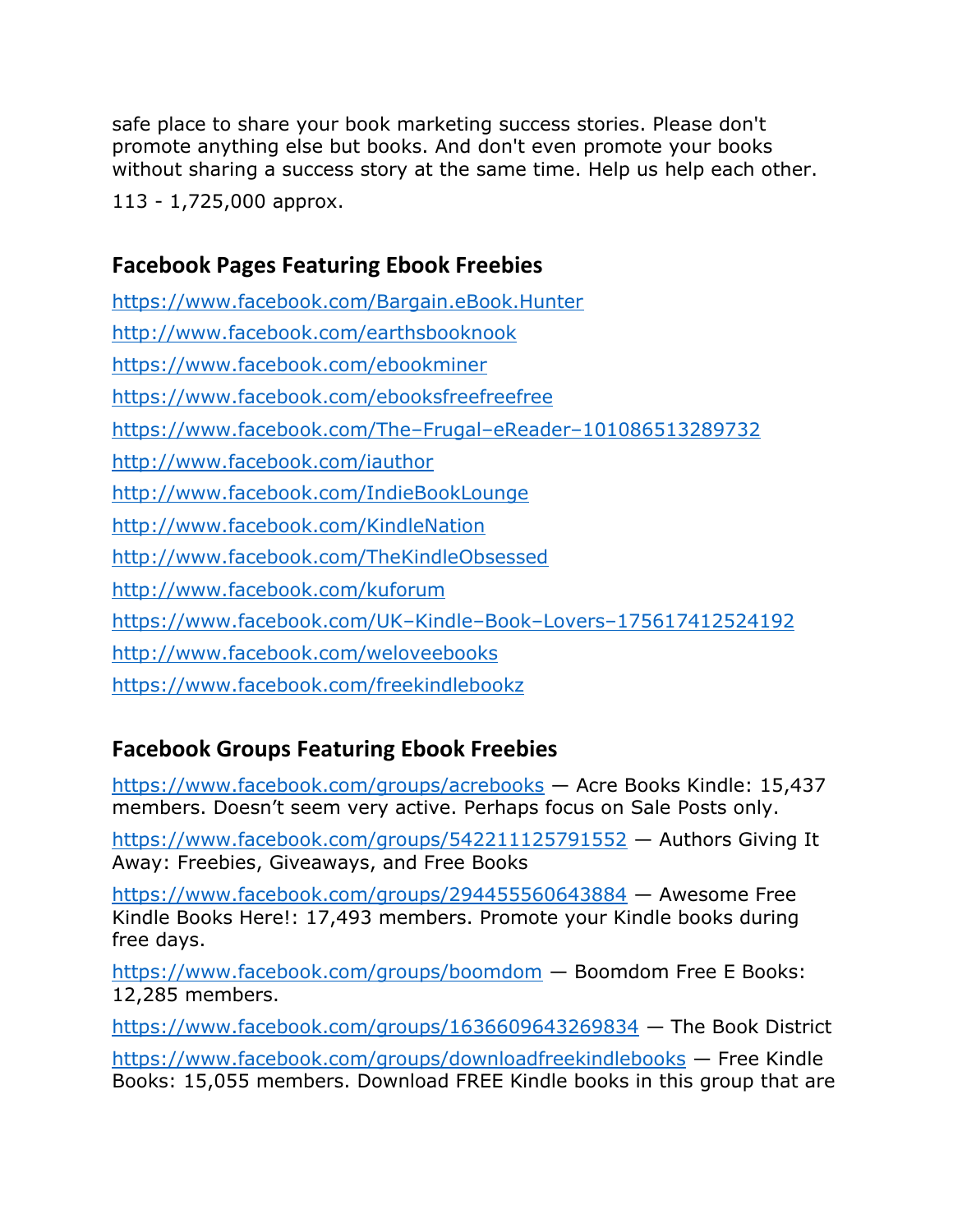safe place to share your book marketing success stories. Please don't promote anything else but books. And don't even promote your books without sharing a success story at the same time. Help us help each other.

113 - 1,725,000 approx.

## **Facebook Pages Featuring Ebook Freebies**

<https://www.facebook.com/Bargain.eBook.Hunter> <http://www.facebook.com/earthsbooknook> <https://www.facebook.com/ebookminer> <https://www.facebook.com/ebooksfreefreefree> [https://www.facebook.com/The](https://www.facebook.com/The-Frugal-eReader-101086513289732)–Frugal–eReader–101086513289732 <http://www.facebook.com/iauthor> <http://www.facebook.com/IndieBookLounge> <http://www.facebook.com/KindleNation> <http://www.facebook.com/TheKindleObsessed> <http://www.facebook.com/kuforum> [https://www.facebook.com/UK](https://www.facebook.com/UK-Kindle-Book-Lovers-175617412524192)–Kindle–Book–Lovers–175617412524192 <http://www.facebook.com/weloveebooks> <https://www.facebook.com/freekindlebookz>

## **Facebook Groups Featuring Ebook Freebies**

<https://www.facebook.com/groups/acrebooks> — Acre Books Kindle: 15,437 members. Doesn't seem very active. Perhaps focus on Sale Posts only.

<https://www.facebook.com/groups/542211125791552> — Authors Giving It Away: Freebies, Giveaways, and Free Books

<https://www.facebook.com/groups/294455560643884> — Awesome Free Kindle Books Here!: 17,493 members. Promote your Kindle books during free days.

<https://www.facebook.com/groups/boomdom> — Boomdom Free E Books: 12,285 members.

<https://www.facebook.com/groups/1636609643269834> — The Book District <https://www.facebook.com/groups/downloadfreekindlebooks> — Free Kindle Books: 15,055 members. Download FREE Kindle books in this group that are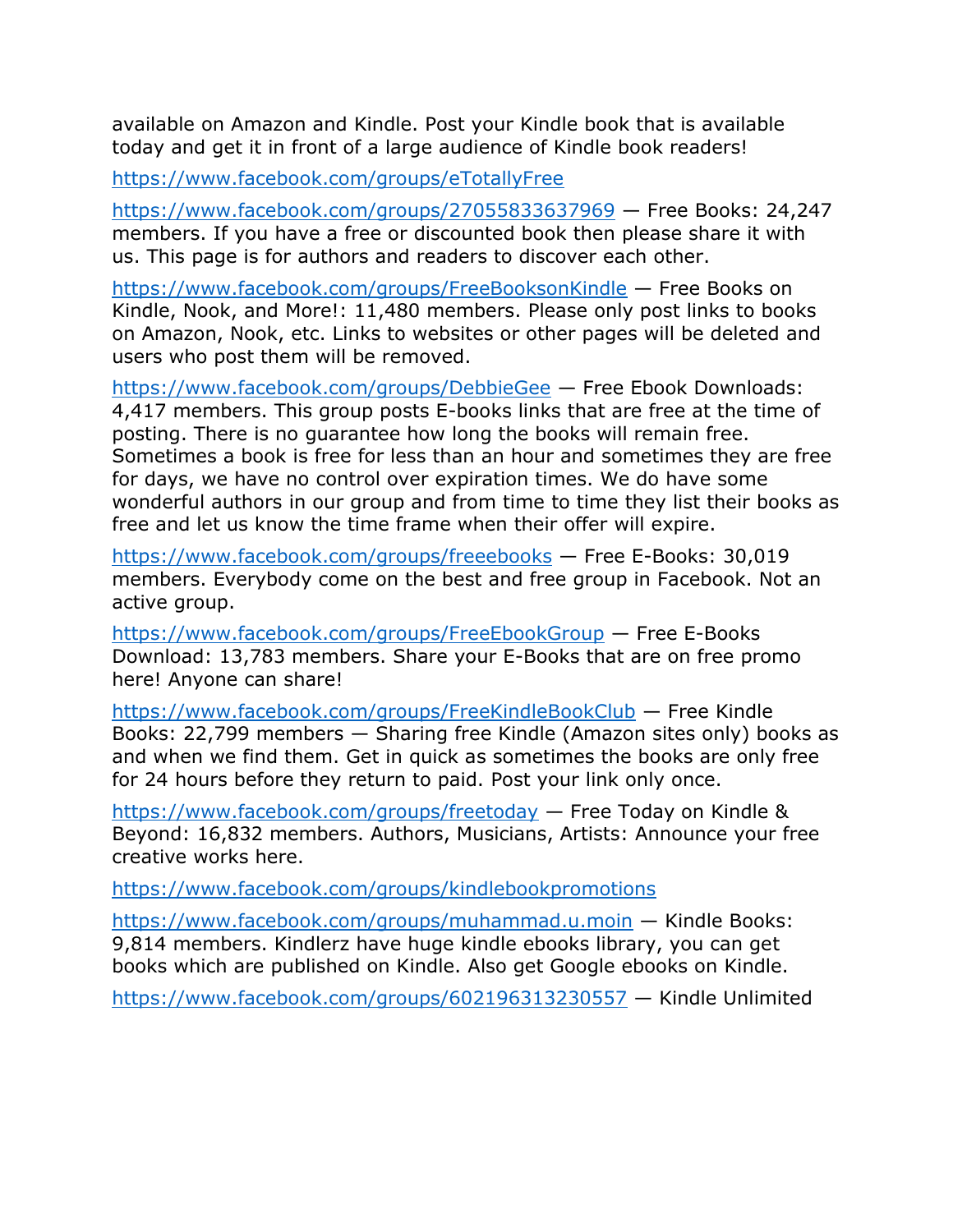available on Amazon and Kindle. Post your Kindle book that is available today and get it in front of a large audience of Kindle book readers!

<https://www.facebook.com/groups/eTotallyFree>

<https://www.facebook.com/groups/27055833637969> — Free Books: 24,247 members. If you have a free or discounted book then please share it with us. This page is for authors and readers to discover each other.

<https://www.facebook.com/groups/FreeBooksonKindle> — Free Books on Kindle, Nook, and More!: 11,480 members. Please only post links to books on Amazon, Nook, etc. Links to websites or other pages will be deleted and users who post them will be removed.

<https://www.facebook.com/groups/DebbieGee> — Free Ebook Downloads: 4,417 members. This group posts E-books links that are free at the time of posting. There is no guarantee how long the books will remain free. Sometimes a book is free for less than an hour and sometimes they are free for days, we have no control over expiration times. We do have some wonderful authors in our group and from time to time they list their books as free and let us know the time frame when their offer will expire.

<https://www.facebook.com/groups/freeebooks> — Free E-Books: 30,019 members. Everybody come on the best and free group in Facebook. Not an active group.

<https://www.facebook.com/groups/FreeEbookGroup> — Free E-Books Download: 13,783 members. Share your E-Books that are on free promo here! Anyone can share!

<https://www.facebook.com/groups/FreeKindleBookClub> — Free Kindle Books: 22,799 members — Sharing free Kindle (Amazon sites only) books as and when we find them. Get in quick as sometimes the books are only free for 24 hours before they return to paid. Post your link only once.

<https://www.facebook.com/groups/freetoday> — Free Today on Kindle & Beyond: 16,832 members. Authors, Musicians, Artists: Announce your free creative works here.

<https://www.facebook.com/groups/kindlebookpromotions>

<https://www.facebook.com/groups/muhammad.u.moin> — Kindle Books: 9,814 members. Kindlerz have huge kindle ebooks library, you can get books which are published on Kindle. Also get Google ebooks on Kindle.

<https://www.facebook.com/groups/602196313230557> — Kindle Unlimited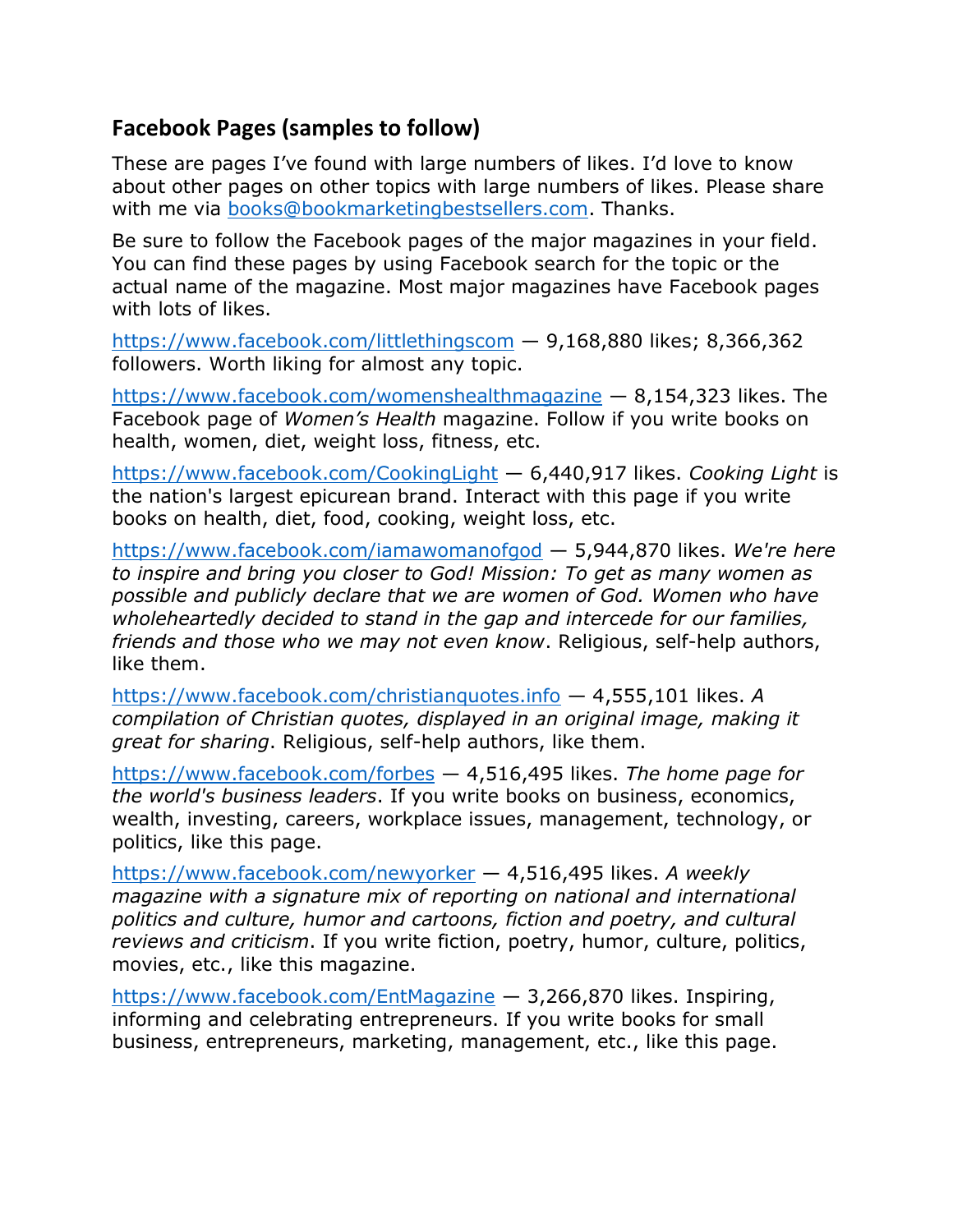## **Facebook Pages (samples to follow)**

These are pages I've found with large numbers of likes. I'd love to know about other pages on other topics with large numbers of likes. Please share with me via [books@bookmarketingbestsellers.com.](mailto:books@bookmarketingbestsellers.com) Thanks.

Be sure to follow the Facebook pages of the major magazines in your field. You can find these pages by using Facebook search for the topic or the actual name of the magazine. Most major magazines have Facebook pages with lots of likes.

<https://www.facebook.com/littlethingscom> — 9,168,880 likes; 8,366,362 followers. Worth liking for almost any topic.

<https://www.facebook.com/womenshealthmagazine> — 8,154,323 likes. The Facebook page of *Women's Health* magazine. Follow if you write books on health, women, diet, weight loss, fitness, etc.

<https://www.facebook.com/CookingLight> — 6,440,917 likes. *Cooking Light* is the nation's largest epicurean brand. Interact with this page if you write books on health, diet, food, cooking, weight loss, etc.

<https://www.facebook.com/iamawomanofgod> — 5,944,870 likes. *We're here to inspire and bring you closer to God! Mission: To get as many women as possible and publicly declare that we are women of God. Women who have wholeheartedly decided to stand in the gap and intercede for our families, friends and those who we may not even know*. Religious, self-help authors, like them.

<https://www.facebook.com/christianquotes.info> — 4,555,101 likes. *A compilation of Christian quotes, displayed in an original image, making it great for sharing*. Religious, self-help authors, like them.

<https://www.facebook.com/forbes> — 4,516,495 likes. *The home page for the world's business leaders*. If you write books on business, economics, wealth, investing, careers, workplace issues, management, technology, or politics, like this page.

<https://www.facebook.com/newyorker> — 4,516,495 likes. *A weekly magazine with a signature mix of reporting on national and international politics and culture, humor and cartoons, fiction and poetry, and cultural reviews and criticism*. If you write fiction, poetry, humor, culture, politics, movies, etc., like this magazine.

<https://www.facebook.com/EntMagazine> — 3,266,870 likes. Inspiring, informing and celebrating entrepreneurs. If you write books for small business, entrepreneurs, marketing, management, etc., like this page.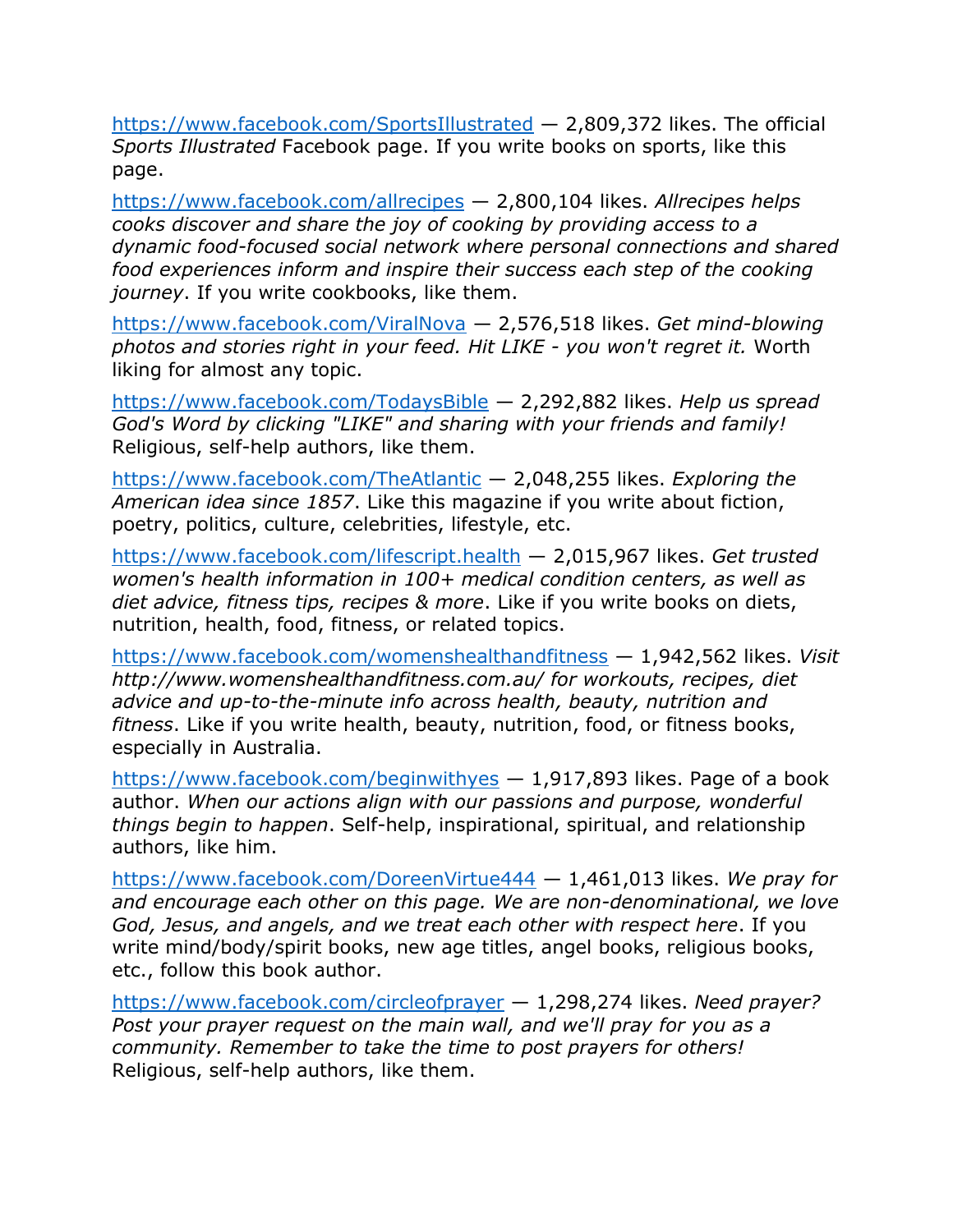<https://www.facebook.com/SportsIllustrated> — 2,809,372 likes. The official *Sports Illustrated* Facebook page. If you write books on sports, like this page.

<https://www.facebook.com/allrecipes> — 2,800,104 likes. *Allrecipes helps cooks discover and share the joy of cooking by providing access to a dynamic food-focused social network where personal connections and shared food experiences inform and inspire their success each step of the cooking journey*. If you write cookbooks, like them.

<https://www.facebook.com/ViralNova> — 2,576,518 likes. *Get mind-blowing photos and stories right in your feed. Hit LIKE - you won't regret it.* Worth liking for almost any topic.

<https://www.facebook.com/TodaysBible> — 2,292,882 likes. *Help us spread God's Word by clicking "LIKE" and sharing with your friends and family!* Religious, self-help authors, like them.

<https://www.facebook.com/TheAtlantic> — 2,048,255 likes. *Exploring the American idea since 1857*. Like this magazine if you write about fiction, poetry, politics, culture, celebrities, lifestyle, etc.

<https://www.facebook.com/lifescript.health> — 2,015,967 likes. *Get trusted women's health information in 100+ medical condition centers, as well as diet advice, fitness tips, recipes & more*. Like if you write books on diets, nutrition, health, food, fitness, or related topics.

<https://www.facebook.com/womenshealthandfitness> — 1,942,562 likes. *Visit http://www.womenshealthandfitness.com.au/ for workouts, recipes, diet advice and up-to-the-minute info across health, beauty, nutrition and fitness*. Like if you write health, beauty, nutrition, food, or fitness books, especially in Australia.

<https://www.facebook.com/beginwithyes> — 1,917,893 likes. Page of a book author. *When our actions align with our passions and purpose, wonderful things begin to happen*. Self-help, inspirational, spiritual, and relationship authors, like him.

<https://www.facebook.com/DoreenVirtue444> — 1,461,013 likes. *We pray for and encourage each other on this page. We are non-denominational, we love God, Jesus, and angels, and we treat each other with respect here*. If you write mind/body/spirit books, new age titles, angel books, religious books, etc., follow this book author.

<https://www.facebook.com/circleofprayer> — 1,298,274 likes. *Need prayer? Post your prayer request on the main wall, and we'll pray for you as a community. Remember to take the time to post prayers for others!* Religious, self-help authors, like them.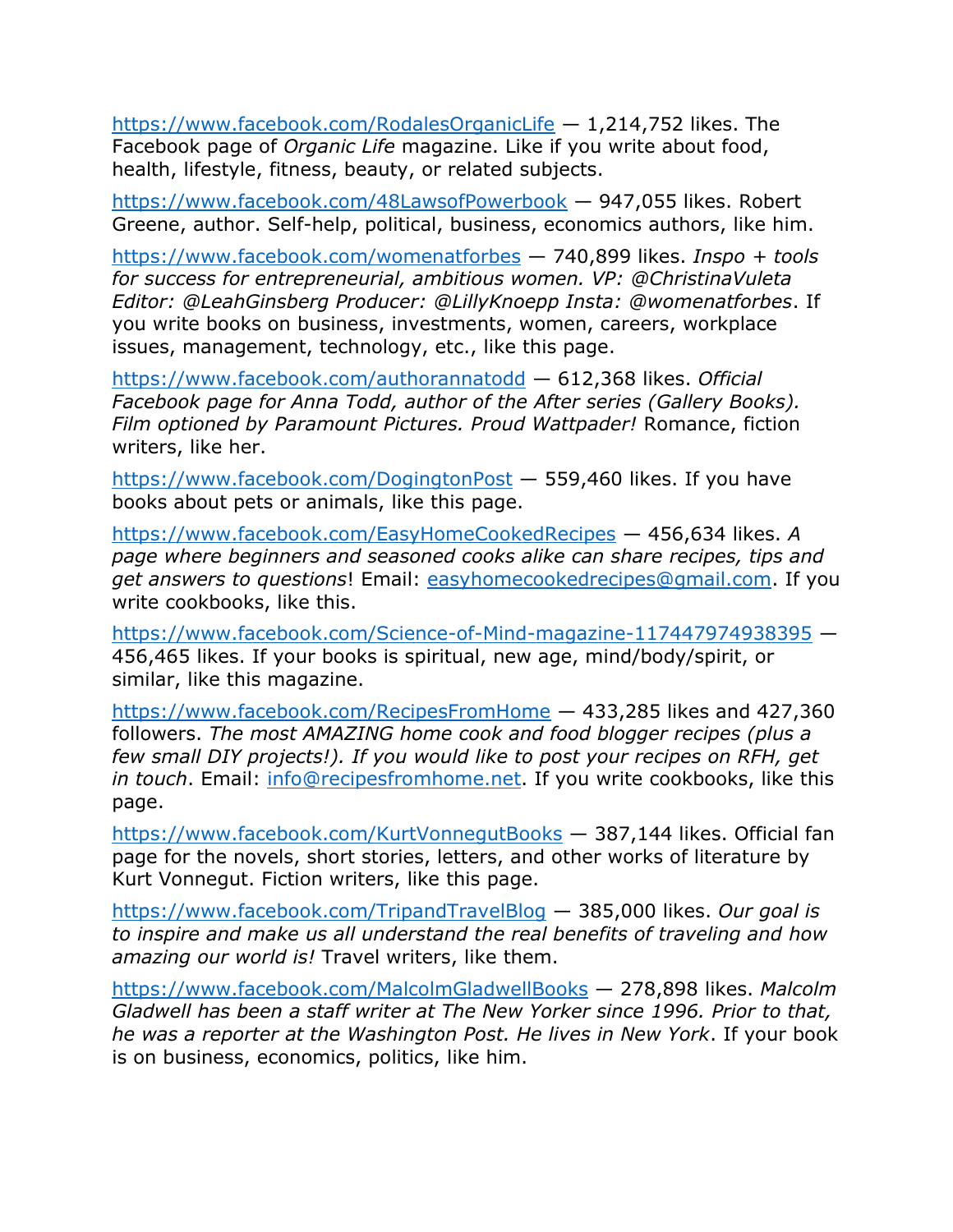<https://www.facebook.com/RodalesOrganicLife> — 1,214,752 likes. The Facebook page of *Organic Life* magazine. Like if you write about food, health, lifestyle, fitness, beauty, or related subjects.

<https://www.facebook.com/48LawsofPowerbook> — 947,055 likes. Robert Greene, author. Self-help, political, business, economics authors, like him.

<https://www.facebook.com/womenatforbes> — 740,899 likes. *Inspo + tools for success for entrepreneurial, ambitious women. VP: @ChristinaVuleta Editor: @LeahGinsberg Producer: @LillyKnoepp Insta: @womenatforbes*. If you write books on business, investments, women, careers, workplace issues, management, technology, etc., like this page.

<https://www.facebook.com/authorannatodd> — 612,368 likes. *Official Facebook page for Anna Todd, author of the After series (Gallery Books). Film optioned by Paramount Pictures. Proud Wattpader!* Romance, fiction writers, like her.

<https://www.facebook.com/DogingtonPost> — 559,460 likes. If you have books about pets or animals, like this page.

<https://www.facebook.com/EasyHomeCookedRecipes> — 456,634 likes. *A page where beginners and seasoned cooks alike can share recipes, tips and get answers to questions*! Email: [easyhomecookedrecipes@gmail.com.](mailto:easyhomecookedrecipes@gmail.com) If you write cookbooks, like this.

<https://www.facebook.com/Science-of-Mind-magazine-117447974938395> — 456,465 likes. If your books is spiritual, new age, mind/body/spirit, or similar, like this magazine.

<https://www.facebook.com/RecipesFromHome> — 433,285 likes and 427,360 followers. *The most AMAZING home cook and food blogger recipes (plus a few small DIY projects!). If you would like to post your recipes on RFH, get in touch*. Email: [info@recipesfromhome.net.](mailto:info@recipesfromhome.net) If you write cookbooks, like this page.

<https://www.facebook.com/KurtVonnegutBooks> — 387,144 likes. Official fan page for the novels, short stories, letters, and other works of literature by Kurt Vonnegut. Fiction writers, like this page.

<https://www.facebook.com/TripandTravelBlog> — 385,000 likes. *Our goal is to inspire and make us all understand the real benefits of traveling and how amazing our world is!* Travel writers, like them.

<https://www.facebook.com/MalcolmGladwellBooks> — 278,898 likes. *Malcolm Gladwell has been a staff writer at The New Yorker since 1996. Prior to that, he was a reporter at the Washington Post. He lives in New York*. If your book is on business, economics, politics, like him.